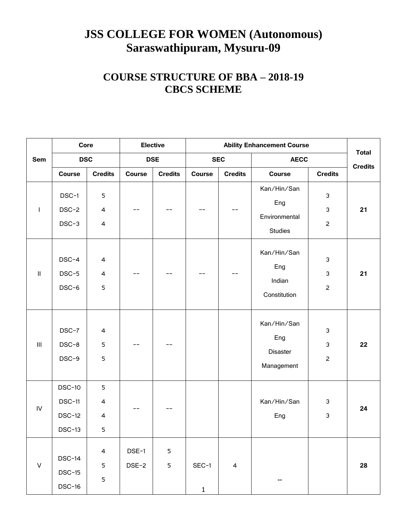# **JSS COLLEGE FOR WOMEN (Autonomous) Saraswathipuram, Mysuru-09**

# **COURSE STRUCTURE OF BBA – 2018-19 CBCS SCHEME**

|                            | Core                                                   |                                                |                | <b>Elective</b> |                         |                | <b>Ability Enhancement Course</b>                     |                                       |                |
|----------------------------|--------------------------------------------------------|------------------------------------------------|----------------|-----------------|-------------------------|----------------|-------------------------------------------------------|---------------------------------------|----------------|
| Sem                        | <b>DSC</b>                                             |                                                |                | <b>DSE</b>      |                         | <b>SEC</b>     | <b>AECC</b>                                           |                                       | <b>Total</b>   |
|                            | <b>Course</b>                                          | <b>Credits</b>                                 | Course         | <b>Credits</b>  | <b>Course</b>           | <b>Credits</b> | <b>Course</b>                                         | <b>Credits</b>                        | <b>Credits</b> |
| $\mathbf{I}$               | DSC-1<br>DSC-2<br>DSC-3                                | 5<br>$\overline{\mathbf{4}}$<br>$\overline{4}$ |                |                 |                         |                | Kan/Hin/San<br>Eng<br>Environmental<br><b>Studies</b> | 3<br>3<br>$\overline{c}$              | 21             |
| $\ensuremath{\mathsf{II}}$ | DSC-4<br>DSC-5<br>DSC-6                                | $\overline{4}$<br>$\overline{4}$<br>5          |                |                 |                         |                | Kan/Hin/San<br>Eng<br>Indian<br>Constitution          | 3<br>$\mathfrak{Z}$<br>$\overline{c}$ | 21             |
| $\mathop{\rm III}$         | DSC-7<br>DSC-8<br>DSC-9                                | 4<br>5<br>5                                    | --             |                 |                         |                | Kan/Hin/San<br>Eng<br>Disaster<br>Management          | 3<br>3<br>$\overline{c}$              | 22             |
| ${\sf IV}$                 | <b>DSC-10</b><br>$DSC-11$<br><b>DSC-12</b><br>$DSC-13$ | 5<br>4<br>4<br>5                               | --             |                 |                         |                | Kan/Hin/San<br>Eng                                    | 3<br>3                                | 24             |
| $\vee$                     | <b>DSC-14</b><br>$DSC-15$<br><b>DSC-16</b>             | $\overline{4}$<br>5<br>$\mathsf S$             | DSE-1<br>DSE-2 | 5<br>5          | $SEC-1$<br>$\mathbf{1}$ | $\overline{4}$ |                                                       |                                       | 28             |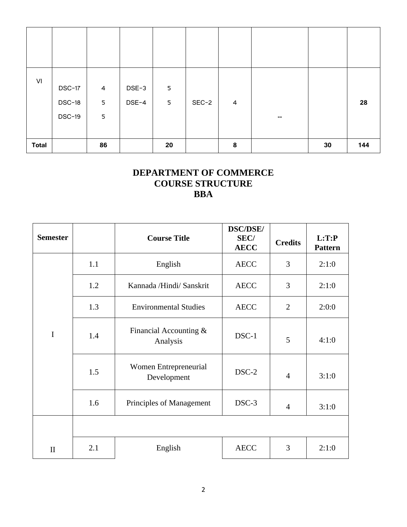| VI           | DSC-17<br>$DSC-18$<br><b>DSC-19</b> | $\overline{4}$<br>$\mathsf S$<br>5 | DSE-3<br>DSE-4 | 5<br>5 | $SEC-2$ | 4 | $\overline{\phantom{a}}$ |    | 28  |
|--------------|-------------------------------------|------------------------------------|----------------|--------|---------|---|--------------------------|----|-----|
| <b>Total</b> |                                     | 86                                 |                | 20     |         | 8 |                          | 30 | 144 |

## **DEPARTMENT OF COMMERCE COURSE STRUCTURE BBA**

| <b>Semester</b> |     | <b>Course Title</b>                  | <b>DSC/DSE/</b><br><b>SEC/</b><br><b>AECC</b> | <b>Credits</b> | L:TP<br><b>Pattern</b> |
|-----------------|-----|--------------------------------------|-----------------------------------------------|----------------|------------------------|
|                 | 1.1 | English                              | <b>AECC</b>                                   | 3              | 2:1:0                  |
| $\mathbf I$     | 1.2 | Kannada /Hindi/ Sanskrit             | <b>AECC</b>                                   | 3              | 2:1:0                  |
|                 | 1.3 | <b>Environmental Studies</b>         | <b>AECC</b>                                   | $\overline{2}$ | 2:0:0                  |
|                 | 1.4 | Financial Accounting &<br>Analysis   | DSC-1                                         | 5              | 4:1:0                  |
|                 | 1.5 | Women Entrepreneurial<br>Development | DSC-2                                         | $\overline{4}$ | 3:1:0                  |
|                 | 1.6 | Principles of Management             | DSC-3                                         | $\overline{4}$ | 3:1:0                  |
|                 |     |                                      |                                               |                |                        |
| $\mathbf{I}$    | 2.1 | English                              | <b>AECC</b>                                   | 3              | 2:1:0                  |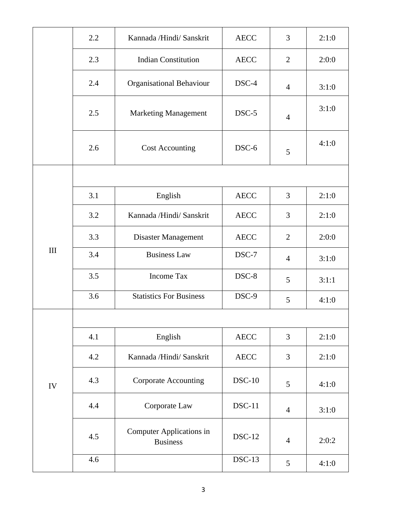|     | 2.2 | Kannada /Hindi/ Sanskrit                    | <b>AECC</b>   | 3              | 2:1:0 |
|-----|-----|---------------------------------------------|---------------|----------------|-------|
|     | 2.3 | <b>Indian Constitution</b>                  | <b>AECC</b>   | $\overline{2}$ | 2:0:0 |
|     | 2.4 | Organisational Behaviour                    | DSC-4         | $\overline{4}$ | 3:1:0 |
|     | 2.5 | <b>Marketing Management</b>                 | DSC-5         | $\overline{4}$ | 3:1:0 |
|     | 2.6 | <b>Cost Accounting</b>                      | DSC-6         | 5              | 4:1:0 |
|     |     |                                             |               |                |       |
|     | 3.1 | English                                     | <b>AECC</b>   | 3              | 2:1:0 |
|     | 3.2 | Kannada /Hindi/ Sanskrit                    | <b>AECC</b>   | 3              | 2:1:0 |
|     | 3.3 | Disaster Management                         | <b>AECC</b>   | $\overline{2}$ | 2:0:0 |
| III | 3.4 | <b>Business Law</b>                         | DSC-7         | $\overline{4}$ | 3:1:0 |
|     | 3.5 | Income Tax                                  | DSC-8         | 5              | 3:1:1 |
|     | 3.6 | <b>Statistics For Business</b>              | DSC-9         | 5              | 4:1:0 |
|     |     |                                             |               |                |       |
|     | 4.1 | English                                     | <b>AECC</b>   | 3              | 2:1:0 |
|     | 4.2 | Kannada /Hindi/ Sanskrit                    | <b>AECC</b>   | 3              | 2:1:0 |
| IV  | 4.3 | <b>Corporate Accounting</b>                 | $DSC-10$      | 5              | 4:1:0 |
|     | 4.4 | Corporate Law                               | $DSC-11$      | $\overline{4}$ | 3:1:0 |
|     | 4.5 | Computer Applications in<br><b>Business</b> | <b>DSC-12</b> | $\overline{4}$ | 2:0:2 |
|     | 4.6 |                                             | $DSC-13$      | 5              | 4:1:0 |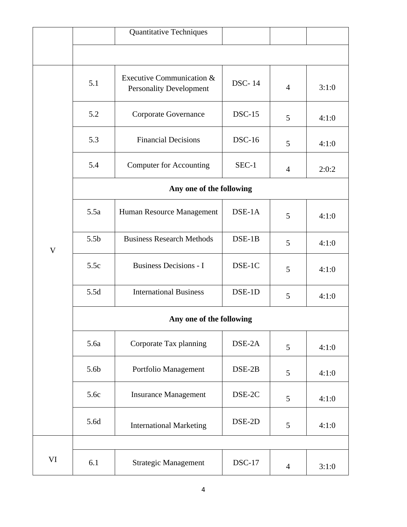|    |                          | Quantitative Techniques                                     |               |                |       |  |  |  |
|----|--------------------------|-------------------------------------------------------------|---------------|----------------|-------|--|--|--|
|    |                          |                                                             |               |                |       |  |  |  |
|    | 5.1                      | Executive Communication &<br><b>Personality Development</b> | <b>DSC-14</b> | $\overline{4}$ | 3:1:0 |  |  |  |
|    | 5.2                      | Corporate Governance                                        | $DSC-15$      | 5              | 4:1:0 |  |  |  |
|    | 5.3                      | <b>Financial Decisions</b>                                  | $DSC-16$      | 5              | 4:1:0 |  |  |  |
|    | 5.4                      | <b>Computer for Accounting</b>                              |               | $\overline{4}$ | 2:0:2 |  |  |  |
|    | Any one of the following |                                                             |               |                |       |  |  |  |
|    | 5.5a                     | Human Resource Management                                   | $DSE-1A$      | 5              | 4:1:0 |  |  |  |
| V  | 5.5 <sub>b</sub>         | <b>Business Research Methods</b>                            | $DSE-1B$      | 5              | 4:1:0 |  |  |  |
|    | 5.5c                     | <b>Business Decisions - I</b>                               | DSE-1C        | 5              | 4:1:0 |  |  |  |
|    | 5.5d                     | <b>International Business</b>                               | DSE-1D        | 5              | 4:1:0 |  |  |  |
|    | Any one of the following |                                                             |               |                |       |  |  |  |
|    | 5.6a                     | Corporate Tax planning                                      | DSE-2A        | 5              | 4:1:0 |  |  |  |
|    | 5.6b                     | Portfolio Management                                        | DSE-2B        | 5              | 4:1:0 |  |  |  |
|    | 5.6c                     | <b>Insurance Management</b>                                 | DSE-2C        | 5              | 4:1:0 |  |  |  |
|    | 5.6d                     | <b>International Marketing</b>                              | DSE-2D        | 5              | 4:1:0 |  |  |  |
|    |                          |                                                             |               |                |       |  |  |  |
| VI | 6.1                      | <b>Strategic Management</b>                                 | $DSC-17$      | $\overline{4}$ | 3:1:0 |  |  |  |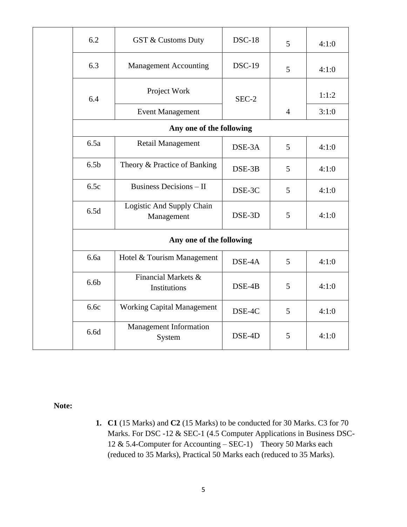|  | 6.2              | <b>GST &amp; Customs Duty</b>                  | $DSC-18$ | 5              | 4:1:0 |
|--|------------------|------------------------------------------------|----------|----------------|-------|
|  | 6.3              | <b>Management Accounting</b>                   | $DSC-19$ | 5              | 4:1:0 |
|  | 6.4              | Project Work                                   | SEC-2    |                | 1:1:2 |
|  |                  | <b>Event Management</b>                        |          | $\overline{4}$ | 3:1:0 |
|  |                  | Any one of the following                       |          |                |       |
|  | 6.5a             | <b>Retail Management</b>                       | DSE-3A   | 5              | 4:1:0 |
|  | 6.5 <sub>b</sub> | Theory & Practice of Banking                   | DSE-3B   | 5              | 4:1:0 |
|  | 6.5c             | Business Decisions $-$ II                      | DSE-3C   | 5              | 4:1:0 |
|  | 6.5d             | Logistic And Supply Chain<br>Management        | DSE-3D   | 5              | 4:1:0 |
|  |                  | Any one of the following                       |          |                |       |
|  | 6.6a             | Hotel & Tourism Management                     | DSE-4A   | 5              | 4:1:0 |
|  | 6.6 <sub>b</sub> | <b>Financial Markets &amp;</b><br>Institutions | DSE-4B   | 5              | 4:1:0 |
|  | 6.6c             | <b>Working Capital Management</b>              | DSE-4C   | 5              | 4:1:0 |
|  | 6.6d             | <b>Management Information</b><br>System        | DSE-4D   | 5              | 4:1:0 |
|  |                  |                                                |          |                |       |

 **Note:**

**1. C1** (15 Marks) and **C2** (15 Marks) to be conducted for 30 Marks. C3 for 70 Marks. For DSC -12 & SEC-1 (4.5 Computer Applications in Business DSC-12 & 5.4-Computer for Accounting – SEC-1) Theory 50 Marks each (reduced to 35 Marks), Practical 50 Marks each (reduced to 35 Marks).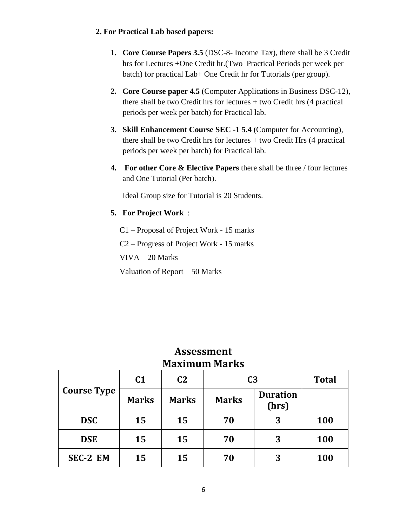## **2. For Practical Lab based papers:**

- **1. Core Course Papers 3.5** (DSC-8- Income Tax), there shall be 3 Credit hrs for Lectures +One Credit hr.(Two Practical Periods per week per batch) for practical Lab+ One Credit hr for Tutorials (per group).
- **2. Core Course paper 4.5** (Computer Applications in Business DSC-12), there shall be two Credit hrs for lectures  $+$  two Credit hrs  $(4$  practical periods per week per batch) for Practical lab.
- **3. Skill Enhancement Course SEC -1 5.4** (Computer for Accounting), there shall be two Credit hrs for lectures + two Credit Hrs (4 practical periods per week per batch) for Practical lab.
- **4. For other Core & Elective Papers** there shall be three / four lectures and One Tutorial (Per batch).

Ideal Group size for Tutorial is 20 Students.

**5. For Project Work** :

C1 – Proposal of Project Work - 15 marks

C2 – Progress of Project Work - 15 marks

VIVA – 20 Marks

Valuation of Report – 50 Marks

| $\mathbf{r}$ . The statistic statistic statistic statistic statistic statistic statistic statistic statistic statistic statistic statistic statistic statistic statistic statistic statistic statistic statistic statistic statis |                |                |                |                          |              |  |
|-----------------------------------------------------------------------------------------------------------------------------------------------------------------------------------------------------------------------------------|----------------|----------------|----------------|--------------------------|--------------|--|
|                                                                                                                                                                                                                                   | C <sub>1</sub> | C <sub>2</sub> | C <sub>3</sub> |                          | <b>Total</b> |  |
| <b>Course Type</b>                                                                                                                                                                                                                | <b>Marks</b>   | <b>Marks</b>   | <b>Marks</b>   | <b>Duration</b><br>(hrs) |              |  |
| <b>DSC</b>                                                                                                                                                                                                                        | 15             | 15             | 70             | 3                        | 100          |  |
| <b>DSE</b>                                                                                                                                                                                                                        | 15             | 15             | 70             | 3                        | 100          |  |
| SEC-2 EM                                                                                                                                                                                                                          | 15             | 15             | 70             | 3                        | 100          |  |

## **Assessment Maximum Marks**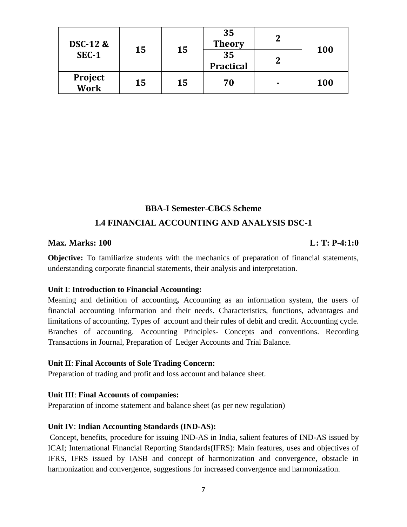| <b>DSC-12 &amp;</b><br>SEC-1 | 15 | 15 | 35<br><b>Theory</b><br>35 | າ<br>າ | <b>100</b> |
|------------------------------|----|----|---------------------------|--------|------------|
|                              |    |    | Practical                 |        |            |
| Project<br>Work              | 15 | 15 | 70                        |        | <b>100</b> |

## **BBA-I Semester-CBCS Scheme 1.4 FINANCIAL ACCOUNTING AND ANALYSIS DSC-1**

## **Max. Marks: 100 Little Except Control Control Control Control Control Control Control Control Control Control Control Control Control Control Control Control Control Control Control Control Control Control Control Control**

**Objective:** To familiarize students with the mechanics of preparation of financial statements, understanding corporate financial statements, their analysis and interpretation.

## **Unit I**: **Introduction to Financial Accounting:**

Meaning and definition of accounting**,** Accounting as an information system, the users of financial accounting information and their needs. Characteristics, functions, advantages and limitations of accounting. Types of account and their rules of debit and credit. Accounting cycle. Branches of accounting. Accounting Principles- Concepts and conventions. Recording Transactions in Journal, Preparation of Ledger Accounts and Trial Balance.

## **Unit II**: **Final Accounts of Sole Trading Concern:**

Preparation of trading and profit and loss account and balance sheet.

## **Unit III**: **Final Accounts of companies:**

Preparation of income statement and balance sheet (as per new regulation)

## **Unit IV**: **Indian Accounting Standards (IND-AS):**

Concept, benefits, procedure for issuing IND-AS in India, salient features of IND-AS issued by ICAI; International Financial Reporting Standards(IFRS): Main features, uses and objectives of IFRS, IFRS issued by IASB and concept of harmonization and convergence, obstacle in harmonization and convergence, suggestions for increased convergence and harmonization.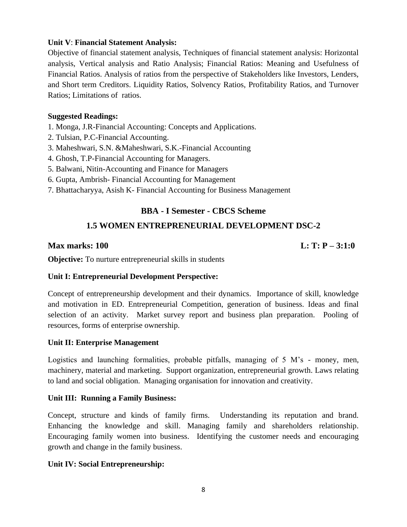## **Unit V**: **Financial Statement Analysis:**

Objective of financial statement analysis, Techniques of financial statement analysis: Horizontal analysis, Vertical analysis and Ratio Analysis; Financial Ratios: Meaning and Usefulness of Financial Ratios. Analysis of ratios from the perspective of Stakeholders like Investors, Lenders, and Short term Creditors. Liquidity Ratios, Solvency Ratios, Profitability Ratios, and Turnover Ratios; Limitations of ratios.

## **Suggested Readings:**

- 1. Monga, J.R-Financial Accounting: Concepts and Applications.
- 2. Tulsian, P.C-Financial Accounting.
- 3. Maheshwari, S.N. &Maheshwari, S.K.-Financial Accounting
- 4. Ghosh, T.P-Financial Accounting for Managers.
- 5. Balwani, Nitin-Accounting and Finance for Managers
- 6. Gupta, Ambrish- Financial Accounting for Management
- 7. Bhattacharyya, Asish K- Financial Accounting for Business Management

## **BBA - I Semester - CBCS Scheme**

## **1.5 WOMEN ENTREPRENEURIAL DEVELOPMENT DSC-2**

## **Max marks: 100** L: T: P – 3:1:0

**Objective:** To nurture entrepreneurial skills in students

## **Unit I: Entrepreneurial Development Perspective:**

Concept of entrepreneurship development and their dynamics. Importance of skill, knowledge and motivation in ED. Entrepreneurial Competition, generation of business. Ideas and final selection of an activity. Market survey report and business plan preparation. Pooling of resources, forms of enterprise ownership.

## **Unit II: Enterprise Management**

Logistics and launching formalities, probable pitfalls, managing of 5 M's - money, men, machinery, material and marketing. Support organization, entrepreneurial growth. Laws relating to land and social obligation. Managing organisation for innovation and creativity.

## **Unit III: Running a Family Business:**

Concept, structure and kinds of family firms. Understanding its reputation and brand. Enhancing the knowledge and skill. Managing family and shareholders relationship. Encouraging family women into business. Identifying the customer needs and encouraging growth and change in the family business.

## **Unit IV: Social Entrepreneurship:**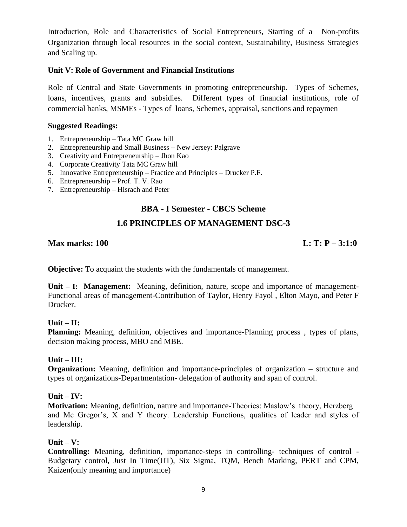Introduction, Role and Characteristics of Social Entrepreneurs, Starting of a Non-profits Organization through local resources in the social context, Sustainability, Business Strategies and Scaling up.

## **Unit V: Role of Government and Financial Institutions**

Role of Central and State Governments in promoting entrepreneurship. Types of Schemes, loans, incentives, grants and subsidies. Different types of financial institutions, role of commercial banks, MSMEs - Types of loans, Schemes, appraisal, sanctions and repaymen

## **Suggested Readings:**

- 1. Entrepreneurship Tata MC Graw hill
- 2. Entrepreneurship and Small Business New Jersey: Palgrave
- 3. Creativity and Entrepreneurship Jhon Kao
- 4. Corporate Creativity Tata MC Graw hill
- 5. Innovative Entrepreneurship Practice and Principles Drucker P.F.
- 6. Entrepreneurship Prof. T. V. Rao
- 7. Entrepreneurship Hisrach and Peter

## **BBA - I Semester - CBCS Scheme**

## **1.6 PRINCIPLES OF MANAGEMENT DSC-3**

## **Max marks: 100** L: T: P – 3:1:0

**Objective:** To acquaint the students with the fundamentals of management.

**Unit – I: Management:** Meaning, definition, nature, scope and importance of management-Functional areas of management-Contribution of Taylor, Henry Fayol , Elton Mayo, and Peter F Drucker.

## $Unit - II:$

**Planning:** Meaning, definition, objectives and importance-Planning process , types of plans, decision making process, MBO and MBE.

## **Unit – III:**

**Organization:** Meaning, definition and importance-principles of organization – structure and types of organizations-Departmentation- delegation of authority and span of control.

## **Unit – IV:**

**Motivation:** Meaning, definition, nature and importance-Theories: Maslow's theory, Herzberg and Mc Gregor's, X and Y theory. Leadership Functions, qualities of leader and styles of leadership.

## **Unit – V:**

**Controlling:** Meaning, definition, importance-steps in controlling- techniques of control - Budgetary control, Just In Time(JIT), Six Sigma, TQM, Bench Marking, PERT and CPM, Kaizen(only meaning and importance)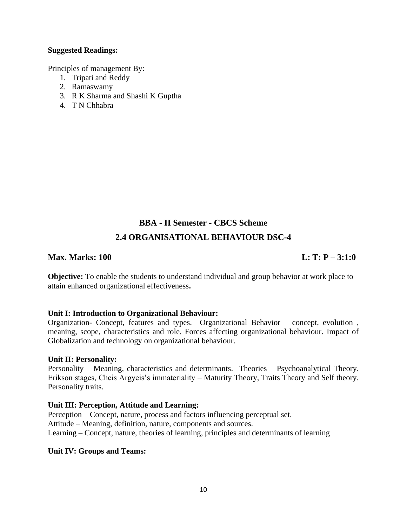## **Suggested Readings:**

Principles of management By:

- 1. Tripati and Reddy
- 2. Ramaswamy
- 3. R K Sharma and Shashi K Guptha
- 4. T N Chhabra

# **BBA - II Semester - CBCS Scheme 2.4 ORGANISATIONAL BEHAVIOUR DSC-4**

## **Max. Marks: 100 L: T: P** – 3:1:0

**Objective:** To enable the students to understand individual and group behavior at work place to attain enhanced organizational effectiveness**.**

## **Unit I: Introduction to Organizational Behaviour:**

Organization- Concept, features and types. Organizational Behavior – concept, evolution , meaning, scope, characteristics and role. Forces affecting organizational behaviour. Impact of Globalization and technology on organizational behaviour.

## **Unit II: Personality:**

Personality – Meaning, characteristics and determinants. Theories – Psychoanalytical Theory. Erikson stages, Cheis Argyeis's immateriality – Maturity Theory, Traits Theory and Self theory. Personality traits.

## **Unit III: Perception, Attitude and Learning:**

Perception – Concept, nature, process and factors influencing perceptual set. Attitude – Meaning, definition, nature, components and sources. Learning – Concept, nature, theories of learning, principles and determinants of learning

## **Unit IV: Groups and Teams:**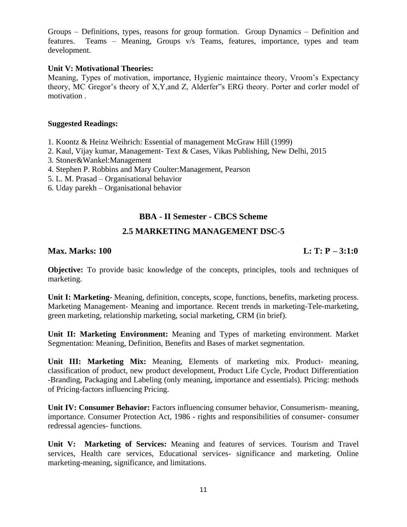Groups – Definitions, types, reasons for group formation. Group Dynamics – Definition and features. Teams – Meaning, Groups v/s Teams, features, importance, types and team development.

## **Unit V: Motivational Theories:**

Meaning, Types of motivation, importance, Hygienic maintaince theory, Vroom's Expectancy theory, MC Gregor's theory of X,Y,and Z, Alderfer"s ERG theory. Porter and corler model of motivation .

## **Suggested Readings:**

- 1. Koontz & Heinz Weihrich: Essential of management McGraw Hill (1999)
- 2. Kaul, Vijay kumar, Management- Text & Cases, Vikas Publishing, New Delhi, 2015
- 3. Stoner&Wankel:Management
- 4. Stephen P. Robbins and Mary Coulter:Management, Pearson
- 5. L. M. Prasad Organisational behavior
- 6. Uday parekh Organisational behavior

## **BBA - II Semester - CBCS Scheme**

## **2.5 MARKETING MANAGEMENT DSC-5**

## **Max. Marks: 100 L: T: P** – 3:1:0

**Objective:** To provide basic knowledge of the concepts, principles, tools and techniques of marketing.

**Unit I: Marketing-** Meaning, definition, concepts, scope, functions, benefits, marketing process. Marketing Management- Meaning and importance. Recent trends in marketing-Tele-marketing, green marketing, relationship marketing, social marketing, CRM (in brief).

**Unit II: Marketing Environment:** Meaning and Types of marketing environment. Market Segmentation: Meaning, Definition, Benefits and Bases of market segmentation.

**Unit III: Marketing Mix:** Meaning, Elements of marketing mix. Product- meaning, classification of product, new product development, Product Life Cycle, Product Differentiation -Branding, Packaging and Labeling (only meaning, importance and essentials). Pricing: methods of Pricing-factors influencing Pricing.

**Unit IV: Consumer Behavior:** Factors influencing consumer behavior, Consumerism- meaning, importance. Consumer Protection Act, 1986 - rights and responsibilities of consumer- consumer redressal agencies- functions.

**Unit V: Marketing of Services:** Meaning and features of services. Tourism and Travel services, Health care services, Educational services- significance and marketing. Online marketing-meaning, significance, and limitations.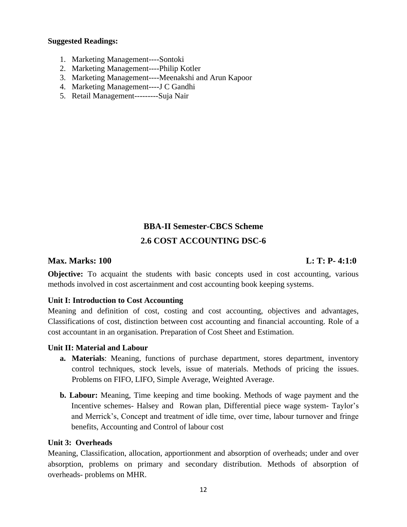## **Suggested Readings:**

- 1. Marketing Management----Sontoki
- 2. Marketing Management----Philip Kotler
- 3. Marketing Management----Meenakshi and Arun Kapoor
- 4. Marketing Management----J C Gandhi
- 5. Retail Management---------Suja Nair

# **BBA-II Semester-CBCS Scheme 2.6 COST ACCOUNTING DSC-6**

## **Max. Marks: 100 L: T: P- 4:1:0**

**Objective:** To acquaint the students with basic concepts used in cost accounting, various methods involved in cost ascertainment and cost accounting book keeping systems.

## **Unit I: Introduction to Cost Accounting**

Meaning and definition of cost, costing and cost accounting, objectives and advantages, Classifications of cost, distinction between cost accounting and financial accounting. Role of a cost accountant in an organisation. Preparation of Cost Sheet and Estimation.

## **Unit II: Material and Labour**

- **a. Materials**: Meaning, functions of purchase department, stores department, inventory control techniques, stock levels, issue of materials. Methods of pricing the issues. Problems on FIFO, LIFO, Simple Average, Weighted Average.
- **b. Labour:** Meaning, Time keeping and time booking. Methods of wage payment and the Incentive schemes- Halsey and Rowan plan, Differential piece wage system- Taylor's and Merrick's, Concept and treatment of idle time, over time, labour turnover and fringe benefits, Accounting and Control of labour cost

## **Unit 3: Overheads**

Meaning, Classification, allocation, apportionment and absorption of overheads; under and over absorption, problems on primary and secondary distribution. Methods of absorption of overheads- problems on MHR.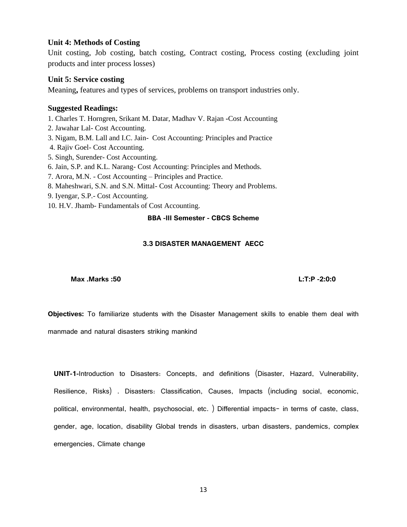#### **Unit 4: Methods of Costing**

Unit costing, Job costing, batch costing, Contract costing, Process costing (excluding joint products and inter process losses)

#### **Unit 5: Service costing**

Meaning**,** features and types of services, problems on transport industries only.

#### **Suggested Readings:**

- 1. Charles T. Horngren, Srikant M. Datar, Madhav V. Rajan **-**Cost Accounting
- 2. Jawahar Lal- Cost Accounting.
- 3. Nigam, B.M. Lall and I.C. Jain- Cost Accounting: Principles and Practice
- 4. Rajiv Goel- Cost Accounting.
- 5. Singh, Surender- Cost Accounting.
- 6. Jain, S.P. and K.L. Narang- Cost Accounting: Principles and Methods.
- 7. Arora, M.N. Cost Accounting Principles and Practice.
- 8. Maheshwari, S.N. and S.N. Mittal- Cost Accounting: Theory and Problems.
- 9. Iyengar, S.P.- Cost Accounting.
- 10. H.V. Jhamb- Fundamentals of Cost Accounting.

#### **BBA -III Semester - CBCS Scheme**

#### **3.3 DISASTER MANAGEMENT AECC**

**Max .Marks :50 L:T:P -2:0:0** 

**Objectives:** To familiarize students with the Disaster Management skills to enable them deal with manmade and natural disasters striking mankind

**UNIT-1-**Introduction to Disasters: Concepts, and definitions (Disaster, Hazard, Vulnerability, Resilience, Risks) . Disasters: Classification, Causes, Impacts (including social, economic, political, environmental, health, psychosocial, etc. ) Differential impacts- in terms of caste, class, gender, age, location, disability Global trends in disasters, urban disasters, pandemics, complex emergencies, Climate change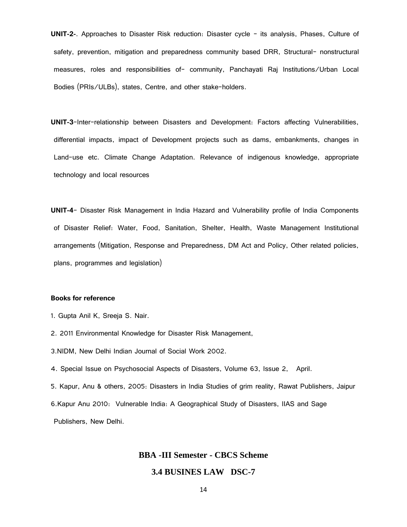**UNIT-2-**. Approaches to Disaster Risk reduction: Disaster cycle - its analysis, Phases, Culture of safety, prevention, mitigation and preparedness community based DRR, Structural- nonstructural measures, roles and responsibilities of- community, Panchayati Raj Institutions/Urban Local Bodies (PRIs/ULBs), states, Centre, and other stake-holders.

**UNIT-3**-Inter-relationship between Disasters and Development: Factors affecting Vulnerabilities, differential impacts, impact of Development projects such as dams, embankments, changes in Land-use etc. Climate Change Adaptation. Relevance of indigenous knowledge, appropriate technology and local resources

**UNIT-4**- Disaster Risk Management in India Hazard and Vulnerability profile of India Components of Disaster Relief: Water, Food, Sanitation, Shelter, Health, Waste Management Institutional arrangements (Mitigation, Response and Preparedness, DM Act and Policy, Other related policies, plans, programmes and legislation)

#### **Books for reference**

- 1. Gupta Anil K, Sreeja S. Nair.
- 2. 2011 Environmental Knowledge for Disaster Risk Management,
- 3.NIDM, New Delhi Indian Journal of Social Work 2002.
- 4. Special Issue on Psychosocial Aspects of Disasters, Volume 63, Issue 2, April.
- 5. Kapur, Anu & others, 2005: Disasters in India Studies of grim reality, Rawat Publishers, Jaipur
- 6.Kapur Anu 2010: Vulnerable India: A Geographical Study of Disasters, IIAS and Sage

Publishers, New Delhi.

#### **BBA -III Semester - CBCS Scheme**

#### **3.4 BUSINES LAW DSC-7**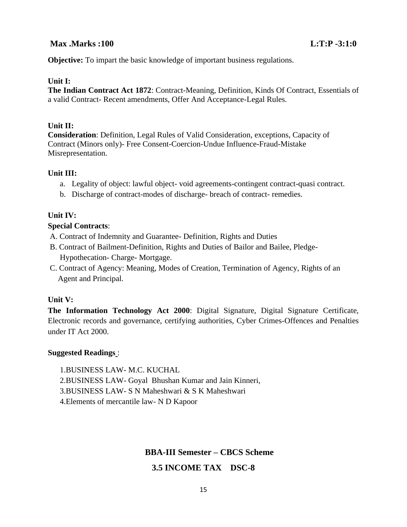## **Max .Marks :100 L:T:P -3:1:0**

**Objective:** To impart the basic knowledge of important business regulations.

### **Unit I:**

**The Indian Contract Act 1872**: Contract-Meaning, Definition, Kinds Of Contract, Essentials of a valid Contract- Recent amendments, Offer And Acceptance-Legal Rules.

## **Unit II:**

**Consideration**: Definition, Legal Rules of Valid Consideration, exceptions, Capacity of Contract (Minors only)- Free Consent-Coercion-Undue Influence-Fraud-Mistake Misrepresentation.

#### **Unit III:**

- a. Legality of object: lawful object- void agreements-contingent contract-quasi contract.
- b. Discharge of contract-modes of discharge- breach of contract- remedies.

### **Unit IV:**

### **Special Contracts**:

- A. Contract of Indemnity and Guarantee- Definition, Rights and Duties
- B. Contract of Bailment-Definition, Rights and Duties of Bailor and Bailee, Pledge- Hypothecation- Charge- Mortgage.
- C. Contract of Agency: Meaning, Modes of Creation, Termination of Agency, Rights of an Agent and Principal.

#### **Unit V:**

**The Information Technology Act 2000**: Digital Signature, Digital Signature Certificate, Electronic records and governance, certifying authorities, Cyber Crimes-Offences and Penalties under IT Act 2000.

#### **Suggested Readings** :

1.BUSINESS LAW- M.C. KUCHAL

- 2.BUSINESS LAW- Goyal Bhushan Kumar and Jain Kinneri,
- 3.BUSINESS LAW- S N Maheshwari & S K Maheshwari
- 4.Elements of mercantile law- N D Kapoor

## **BBA-III Semester – CBCS Scheme**

## **3.5 INCOME TAX DSC-8**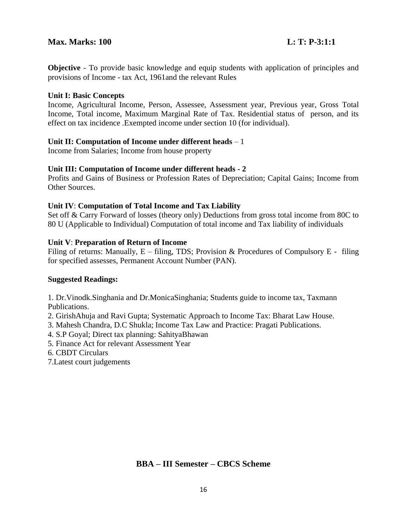## **Max. Marks: 100 Limits: 100** Limits: 200 Limits: 200 Limits: 200 Limits: 200 Limits: 200 Limits: 200 Limits: 200 Limits: 200 Limits: 200 Limits: 200 Limits: 200 Limits: 200 Limits: 200 Limits: 200 Limits: 200 Limits: 200

**Objective** - To provide basic knowledge and equip students with application of principles and provisions of Income - tax Act, 1961and the relevant Rules

## **Unit I: Basic Concepts**

Income, Agricultural Income, Person, Assessee, Assessment year, Previous year, Gross Total Income, Total income, Maximum Marginal Rate of Tax. Residential status of person, and its effect on tax incidence .Exempted income under section 10 (for individual).

## **Unit II: Computation of Income under different heads** – 1

Income from Salaries; Income from house property

## **Unit III: Computation of Income under different heads - 2**

Profits and Gains of Business or Profession Rates of Depreciation; Capital Gains; Income from Other Sources.

## **Unit IV**: **Computation of Total Income and Tax Liability**

Set off & Carry Forward of losses (theory only) Deductions from gross total income from 80C to 80 U (Applicable to Individual) Computation of total income and Tax liability of individuals

## **Unit V**: **Preparation of Return of Income**

Filing of returns: Manually,  $E -$  filing, TDS; Provision & Procedures of Compulsory E - filing for specified assesses, Permanent Account Number (PAN).

## **Suggested Readings:**

1. Dr.Vinodk.Singhania and Dr.MonicaSinghania; Students guide to income tax, Taxmann Publications.

- 2. GirishAhuja and Ravi Gupta; Systematic Approach to Income Tax: Bharat Law House.
- 3. Mahesh Chandra, D.C Shukla; Income Tax Law and Practice: Pragati Publications.
- 4. S.P Goyal; Direct tax planning: SahityaBhawan
- 5. Finance Act for relevant Assessment Year
- 6. CBDT Circulars
- 7.Latest court judgements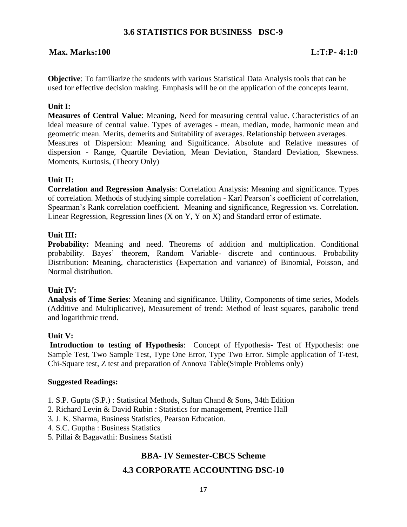## **3.6 STATISTICS FOR BUSINESS DSC-9**

## **Max. Marks:100 L:T:P- 4:1:0**

**Objective**: To familiarize the students with various Statistical Data Analysis tools that can be used for effective decision making. Emphasis will be on the application of the concepts learnt.

## **Unit I:**

**Measures of Central Value**: Meaning, Need for measuring central value. Characteristics of an ideal measure of central value. Types of averages - mean, median, mode, harmonic mean and geometric mean. Merits, demerits and Suitability of averages. Relationship between averages. Measures of Dispersion: Meaning and Significance. Absolute and Relative measures of dispersion - Range, Quartile Deviation, Mean Deviation, Standard Deviation, Skewness. Moments, Kurtosis, (Theory Only)

## **Unit II:**

**Correlation and Regression Analysis**: Correlation Analysis: Meaning and significance. Types of correlation. Methods of studying simple correlation - Karl Pearson's coefficient of correlation, Spearman's Rank correlation coefficient. Meaning and significance, Regression vs. Correlation. Linear Regression, Regression lines  $(X \text{ on } Y, Y \text{ on } X)$  and Standard error of estimate.

### **Unit III:**

**Probability:** Meaning and need. Theorems of addition and multiplication. Conditional probability. Bayes' theorem, Random Variable- discrete and continuous. Probability Distribution: Meaning, characteristics (Expectation and variance) of Binomial, Poisson, and Normal distribution.

## **Unit IV:**

**Analysis of Time Series**: Meaning and significance. Utility, Components of time series, Models (Additive and Multiplicative), Measurement of trend: Method of least squares, parabolic trend and logarithmic trend.

## **Unit V:**

**Introduction to testing of Hypothesis:** Concept of Hypothesis- Test of Hypothesis: one Sample Test, Two Sample Test, Type One Error, Type Two Error. Simple application of T-test, Chi-Square test, Z test and preparation of Annova Table(Simple Problems only)

#### **Suggested Readings:**

- 1. S.P. Gupta (S.P.) : Statistical Methods, Sultan Chand & Sons, 34th Edition
- 2. Richard Levin & David Rubin : Statistics for management, Prentice Hall
- 3. J. K. Sharma, Business Statistics*,* Pearson Education.
- 4. S.C. Guptha : Business Statistics
- 5. Pillai & Bagavathi: Business Statisti

## **BBA- IV Semester-CBCS Scheme**

## **4.3 CORPORATE ACCOUNTING DSC-10**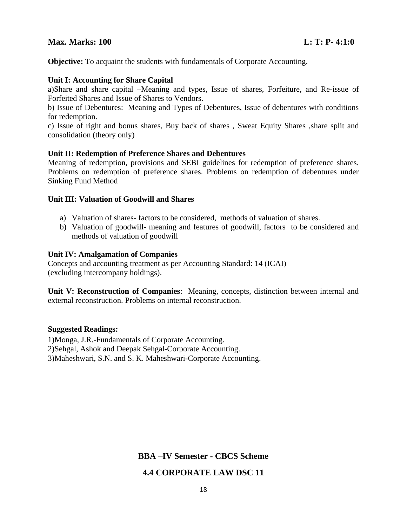## **Max. Marks: 100 L: T: P- 4:1:0**

**Objective:** To acquaint the students with fundamentals of Corporate Accounting.

### **Unit I: Accounting for Share Capital**

a)Share and share capital –Meaning and types, Issue of shares, Forfeiture, and Re-issue of Forfeited Shares and Issue of Shares to Vendors.

b) Issue of Debentures: Meaning and Types of Debentures, Issue of debentures with conditions for redemption.

c) Issue of right and bonus shares, Buy back of shares , Sweat Equity Shares ,share split and consolidation (theory only)

### **Unit II: Redemption of Preference Shares and Debentures**

Meaning of redemption, provisions and SEBI guidelines for redemption of preference shares. Problems on redemption of preference shares. Problems on redemption of debentures under Sinking Fund Method

### **Unit III: Valuation of Goodwill and Shares**

- a) Valuation of shares- factors to be considered, methods of valuation of shares.
- b) Valuation of goodwill- meaning and features of goodwill, factors to be considered and methods of valuation of goodwill

### **Unit IV: Amalgamation of Companies**

Concepts and accounting treatment as per Accounting Standard: 14 (ICAI) (excluding intercompany holdings).

**Unit V: Reconstruction of Companies**: Meaning, concepts, distinction between internal and external reconstruction. Problems on internal reconstruction.

## **Suggested Readings:**

1)Monga, J.R.-Fundamentals of Corporate Accounting. 2)Sehgal, Ashok and Deepak Sehgal-Corporate Accounting. 3)Maheshwari, S.N. and S. K. Maheshwari-Corporate Accounting.

**BBA –IV Semester - CBCS Scheme**

## **4.4 CORPORATE LAW DSC 11**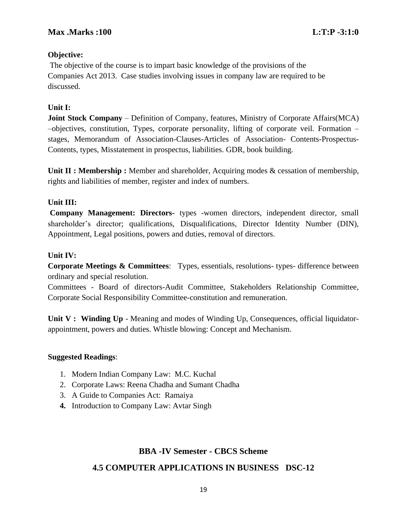## **Objective:**

The objective of the course is to impart basic knowledge of the provisions of the Companies Act 2013. Case studies involving issues in company law are required to be discussed.

## **Unit I:**

**Joint Stock Company** – Definition of Company, features, Ministry of Corporate Affairs(MCA) –objectives, constitution, Types, corporate personality, lifting of corporate veil. Formation – stages, Memorandum of Association-Clauses-Articles of Association- Contents-Prospectus-Contents, types, Misstatement in prospectus, liabilities. GDR, book building.

**Unit II : Membership :** Member and shareholder, Acquiring modes & cessation of membership, rights and liabilities of member, register and index of numbers.

## **Unit III:**

**Company Management: Directors-** types -women directors, independent director, small shareholder's director; qualifications, Disqualifications, Director Identity Number (DIN), Appointment, Legal positions, powers and duties, removal of directors.

## **Unit IV:**

**Corporate Meetings & Committees**: Types, essentials, resolutions- types- difference between ordinary and special resolution.

Committees - Board of directors-Audit Committee, Stakeholders Relationship Committee, Corporate Social Responsibility Committee-constitution and remuneration.

**Unit V : Winding Up** - Meaning and modes of Winding Up, Consequences, official liquidatorappointment, powers and duties. Whistle blowing: Concept and Mechanism.

## **Suggested Readings**:

- 1. Modern Indian Company Law: M.C. Kuchal
- 2. Corporate Laws: Reena Chadha and Sumant Chadha
- 3. A Guide to Companies Act: Ramaiya
- **4.** Introduction to Company Law: Avtar Singh

## **BBA -IV Semester - CBCS Scheme**

## **4.5 COMPUTER APPLICATIONS IN BUSINESS DSC-12**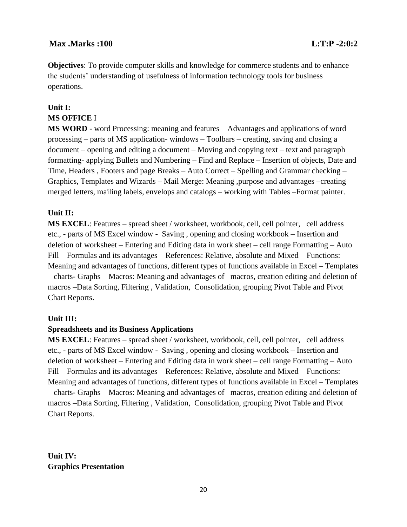## **Max .Marks :100 L:T:P -2:0:2**

**Objectives**: To provide computer skills and knowledge for commerce students and to enhance the students' understanding of usefulness of information technology tools for business operations.

## **Unit I: MS OFFICE** I

**MS WORD** - word Processing: meaning and features – Advantages and applications of word processing – parts of MS application- windows – Toolbars – creating, saving and closing a document – opening and editing a document – Moving and copying text – text and paragraph formatting- applying Bullets and Numbering – Find and Replace – Insertion of objects, Date and Time, Headers , Footers and page Breaks – Auto Correct – Spelling and Grammar checking – Graphics, Templates and Wizards – Mail Merge: Meaning ,purpose and advantages –creating merged letters, mailing labels, envelops and catalogs – working with Tables –Format painter.

## **Unit II:**

**MS EXCEL**: Features – spread sheet / worksheet, workbook, cell, cell pointer, cell address etc., - parts of MS Excel window - Saving , opening and closing workbook – Insertion and deletion of worksheet – Entering and Editing data in work sheet – cell range Formatting – Auto Fill – Formulas and its advantages – References: Relative, absolute and Mixed – Functions: Meaning and advantages of functions, different types of functions available in Excel – Templates – charts- Graphs – Macros: Meaning and advantages of macros, creation editing and deletion of macros –Data Sorting, Filtering , Validation, Consolidation, grouping Pivot Table and Pivot Chart Reports.

## **Unit III:**

## **Spreadsheets and its Business Applications**

**MS EXCEL**: Features – spread sheet / worksheet, workbook, cell, cell pointer, cell address etc., - parts of MS Excel window - Saving , opening and closing workbook – Insertion and deletion of worksheet – Entering and Editing data in work sheet – cell range Formatting – Auto Fill – Formulas and its advantages – References: Relative, absolute and Mixed – Functions: Meaning and advantages of functions, different types of functions available in Excel – Templates – charts- Graphs – Macros: Meaning and advantages of macros, creation editing and deletion of macros –Data Sorting, Filtering , Validation, Consolidation, grouping Pivot Table and Pivot Chart Reports.

**Unit IV: Graphics Presentation**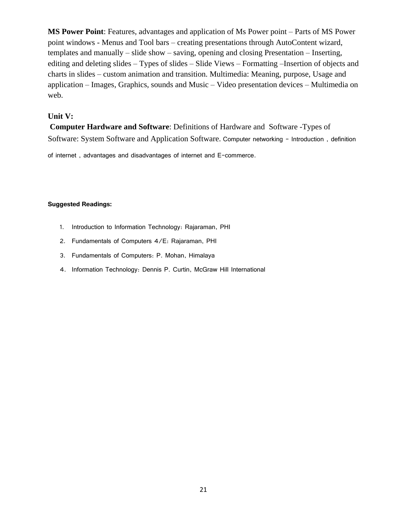**MS Power Point**: Features, advantages and application of Ms Power point – Parts of MS Power point windows - Menus and Tool bars – creating presentations through AutoContent wizard, templates and manually – slide show – saving, opening and closing Presentation – Inserting, editing and deleting slides – Types of slides – Slide Views – Formatting –Insertion of objects and charts in slides – custom animation and transition. Multimedia: Meaning, purpose, Usage and application – Images, Graphics, sounds and Music – Video presentation devices – Multimedia on web.

### **Unit V:**

**Computer Hardware and Software**: Definitions of Hardware and Software -Types of Software: System Software and Application Software. Computer networking – Introduction , definition

of internet , advantages and disadvantages of internet and E-commerce.

- 1. Introduction to Information Technology: Rajaraman, PHI
- 2. Fundamentals of Computers 4/E: Rajaraman, PHI
- 3. Fundamentals of Computers: P. Mohan, Himalaya
- 4. Information Technology: Dennis P. Curtin, McGraw Hill International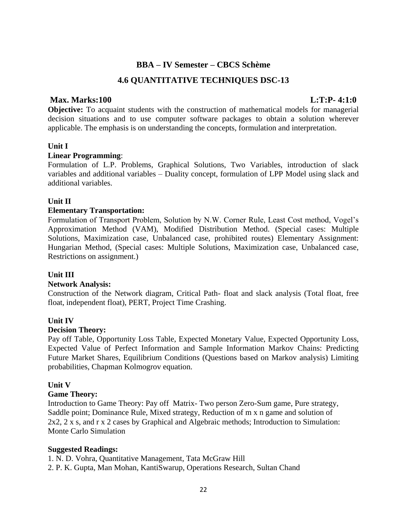## **BBA – IV Semester – CBCS Schème**

## **4.6 QUANTITATIVE TECHNIQUES DSC-13**

## **Max. Marks:100 L:T:P- 4:1:0**

**Objective:** To acquaint students with the construction of mathematical models for managerial decision situations and to use computer software packages to obtain a solution wherever applicable. The emphasis is on understanding the concepts, formulation and interpretation.

## **Unit I**

### **Linear Programming**:

Formulation of L.P. Problems, Graphical Solutions, Two Variables, introduction of slack variables and additional variables – Duality concept, formulation of LPP Model using slack and additional variables.

### **Unit II**

## **Elementary Transportation:**

Formulation of Transport Problem, Solution by N.W. Corner Rule, Least Cost method, Vogel's Approximation Method (VAM), Modified Distribution Method. (Special cases: Multiple Solutions, Maximization case, Unbalanced case, prohibited routes) Elementary Assignment: Hungarian Method, (Special cases: Multiple Solutions, Maximization case, Unbalanced case, Restrictions on assignment.)

## **Unit III**

#### **Network Analysis:**

Construction of the Network diagram, Critical Path- float and slack analysis (Total float, free float, independent float), PERT, Project Time Crashing.

## **Unit IV**

#### **Decision Theory:**

Pay off Table, Opportunity Loss Table, Expected Monetary Value, Expected Opportunity Loss, Expected Value of Perfect Information and Sample Information Markov Chains: Predicting Future Market Shares, Equilibrium Conditions (Questions based on Markov analysis) Limiting probabilities, Chapman Kolmogrov equation.

#### **Unit V**

#### **Game Theory:**

Introduction to Game Theory: Pay off Matrix- Two person Zero-Sum game, Pure strategy, Saddle point; Dominance Rule, Mixed strategy, Reduction of m x n game and solution of 2x2, 2 x s, and r x 2 cases by Graphical and Algebraic methods; Introduction to Simulation: Monte Carlo Simulation

## **Suggested Readings:**

1. N. D. Vohra, Quantitative Management, Tata McGraw Hill

2. P. K. Gupta, Man Mohan, KantiSwarup, Operations Research, Sultan Chand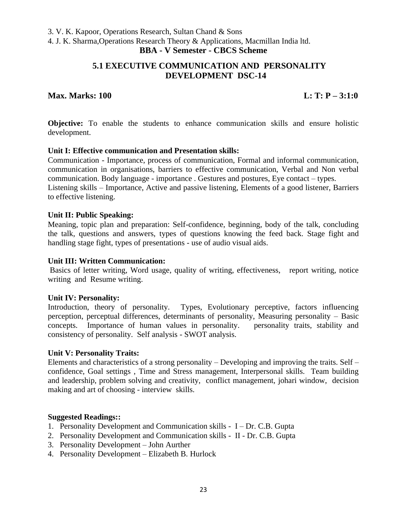3. V. K. Kapoor, Operations Research, Sultan Chand & Sons

4. J. K. Sharma,Operations Research Theory & Applications, Macmillan India ltd.

## **BBA - V Semester - CBCS Scheme**

## **5.1 EXECUTIVE COMMUNICATION AND PERSONALITY DEVELOPMENT DSC-14**

## **Max. Marks: 100 L: T: P – 3:1:0**

**Objective:** To enable the students to enhance communication skills and ensure holistic development.

## **Unit I: Effective communication and Presentation skills:**

Communication - Importance, process of communication, Formal and informal communication, communication in organisations, barriers to effective communication, Verbal and Non verbal communication. Body language - importance . Gestures and postures, Eye contact – types. Listening skills – Importance, Active and passive listening, Elements of a good listener, Barriers to effective listening.

### **Unit II: Public Speaking:**

Meaning, topic plan and preparation: Self-confidence, beginning, body of the talk, concluding the talk, questions and answers, types of questions knowing the feed back. Stage fight and handling stage fight, types of presentations - use of audio visual aids.

### **Unit III: Written Communication:**

Basics of letter writing, Word usage, quality of writing, effectiveness, report writing, notice writing and Resume writing.

#### **Unit IV: Personality:**

Introduction, theory of personality. Types, Evolutionary perceptive, factors influencing perception, perceptual differences, determinants of personality, Measuring personality – Basic concepts. Importance of human values in personality. personality traits, stability and consistency of personality. Self analysis - SWOT analysis.

## **Unit V: Personality Traits:**

Elements and characteristics of a strong personality – Developing and improving the traits. Self – confidence, Goal settings , Time and Stress management, Interpersonal skills. Team building and leadership, problem solving and creativity, conflict management, johari window, decision making and art of choosing - interview skills.

- 1. Personality Development and Communication skills I Dr. C.B. Gupta
- 2. Personality Development and Communication skills II Dr. C.B. Gupta
- 3. Personality Development John Aurther
- 4. Personality Development Elizabeth B. Hurlock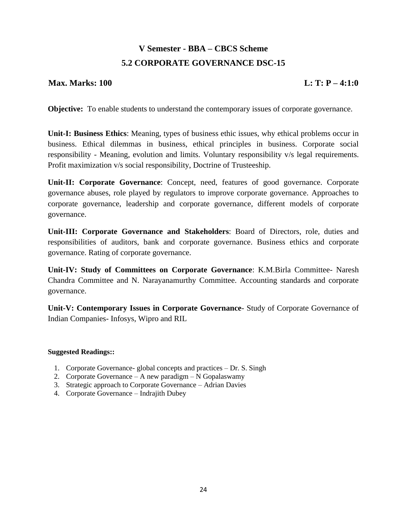# **V Semester - BBA – CBCS Scheme 5.2 CORPORATE GOVERNANCE DSC-15**

## **Max. Marks: 100 L: T: P – 4:1:0**

**Objective:** To enable students to understand the contemporary issues of corporate governance.

**Unit-I: Business Ethics**: Meaning, types of business ethic issues, why ethical problems occur in business. Ethical dilemmas in business, ethical principles in business. Corporate social responsibility - Meaning, evolution and limits. Voluntary responsibility v/s legal requirements. Profit maximization v/s social responsibility, Doctrine of Trusteeship.

**Unit-II: Corporate Governance**: Concept, need, features of good governance. Corporate governance abuses, role played by regulators to improve corporate governance. Approaches to corporate governance, leadership and corporate governance, different models of corporate governance.

**Unit-III: Corporate Governance and Stakeholders**: Board of Directors, role, duties and responsibilities of auditors, bank and corporate governance. Business ethics and corporate governance. Rating of corporate governance.

**Unit-IV: Study of Committees on Corporate Governance**: K.M.Birla Committee- Naresh Chandra Committee and N. Narayanamurthy Committee. Accounting standards and corporate governance.

**Unit-V: Contemporary Issues in Corporate Governance**- Study of Corporate Governance of Indian Companies- Infosys, Wipro and RIL

- 1. Corporate Governance- global concepts and practices Dr. S. Singh
- 2. Corporate Governance A new paradigm N Gopalaswamy
- 3. Strategic approach to Corporate Governance Adrian Davies
- 4. Corporate Governance Indrajith Dubey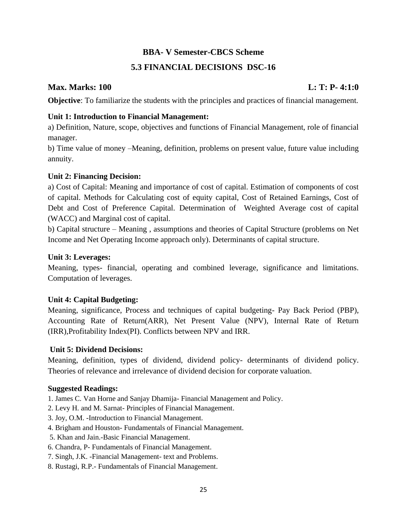## **BBA- V Semester-CBCS Scheme**

## **5.3 FINANCIAL DECISIONS DSC-16**

## **Max. Marks: 100 L: T: P- 4:1:0**

**Objective**: To familiarize the students with the principles and practices of financial management.

## **Unit 1: Introduction to Financial Management:**

a) Definition, Nature, scope, objectives and functions of Financial Management, role of financial manager.

b) Time value of money –Meaning, definition, problems on present value, future value including annuity.

## **Unit 2: Financing Decision:**

a) Cost of Capital: Meaning and importance of cost of capital. Estimation of components of cost of capital. Methods for Calculating cost of equity capital, Cost of Retained Earnings, Cost of Debt and Cost of Preference Capital. Determination of Weighted Average cost of capital (WACC) and Marginal cost of capital.

b) Capital structure – Meaning , assumptions and theories of Capital Structure (problems on Net Income and Net Operating Income approach only). Determinants of capital structure.

## **Unit 3: Leverages:**

Meaning, types- financial, operating and combined leverage, significance and limitations. Computation of leverages.

## **Unit 4: Capital Budgeting:**

Meaning, significance, Process and techniques of capital budgeting- Pay Back Period (PBP), Accounting Rate of Return(ARR), Net Present Value (NPV), Internal Rate of Return (IRR),Profitability Index(PI). Conflicts between NPV and IRR.

## **Unit 5: Dividend Decisions:**

Meaning, definition, types of dividend, dividend policy- determinants of dividend policy. Theories of relevance and irrelevance of dividend decision for corporate valuation.

- 1. James C. Van Horne and Sanjay Dhamija- Financial Management and Policy.
- 2. Levy H. and M. Sarnat- Principles of Financial Management.
- 3. Joy, O.M. -Introduction to Financial Management.
- 4. Brigham and Houston- Fundamentals of Financial Management.
- 5. Khan and Jain.-Basic Financial Management.
- 6. Chandra, P- Fundamentals of Financial Management.
- 7. Singh, J.K. -Financial Management- text and Problems.
- 8. Rustagi, R.P.- Fundamentals of Financial Management.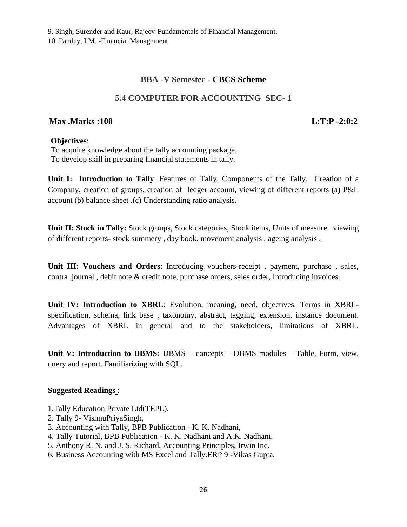## **BBA -V Semester - CBCS Scheme**

## **5.4 COMPUTER FOR ACCOUNTING SEC- 1**

## **Max .Marks :100 L:T:P -2:0:2**

### **Objectives**:

To acquire knowledge about the tally accounting package. To develop skill in preparing financial statements in tally.

**Unit I: Introduction to Tally**: Features of Tally, Components of the Tally. Creation of a Company, creation of groups, creation of ledger account, viewing of different reports (a) P&L account (b) balance sheet .(c) Understanding ratio analysis.

**Unit II: Stock in Tally:** Stock groups, Stock categories, Stock items, Units of measure. viewing of different reports- stock summery , day book, movement analysis , ageing analysis .

**Unit III: Vouchers and Orders**: Introducing vouchers-receipt , payment, purchase , sales, contra ,journal , debit note & credit note, purchase orders, sales order, Introducing invoices.

**Unit IV: Introduction to XBRL**: Evolution, meaning, need, objectives. Terms in XBRLspecification, schema, link base , taxonomy, abstract, tagging, extension, instance document. Advantages of XBRL in general and to the stakeholders, limitations of XBRL.

**Unit V: Introduction to DBMS:** DBMS **–** concepts – DBMS modules – Table, Form, view, query and report. Familiarizing with SQL.

- 1.Tally Education Private Ltd(TEPL).
- 2. Tally 9- VishnuPriyaSingh,
- 3. Accounting with Tally, BPB Publication K. K. Nadhani,
- 4. Tally Tutorial, BPB Publication K. K. Nadhani and A.K. Nadhani,
- 5. Anthony R. N. and J. S. Richard, Accounting Principles, Irwin Inc.
- 6. Business Accounting with MS Excel and Tally.ERP 9 -Vikas Gupta,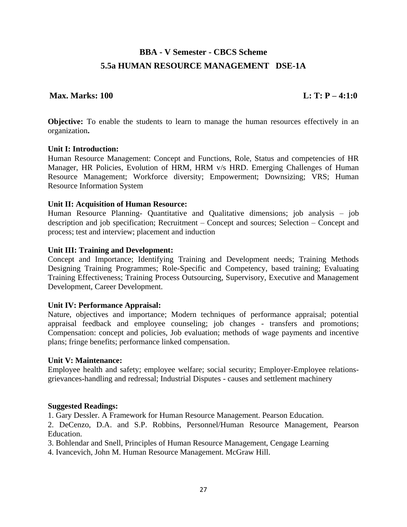# **BBA - V Semester - CBCS Scheme 5.5a HUMAN RESOURCE MANAGEMENT DSE-1A**

## **Max. Marks: 100** L: T: P – 4:1:0

**Objective:** To enable the students to learn to manage the human resources effectively in an organization**.**

### **Unit I: Introduction:**

Human Resource Management: Concept and Functions, Role, Status and competencies of HR Manager, HR Policies, Evolution of HRM, HRM v/s HRD. Emerging Challenges of Human Resource Management; Workforce diversity; Empowerment; Downsizing; VRS; Human Resource Information System

### **Unit II: Acquisition of Human Resource:**

Human Resource Planning- Quantitative and Qualitative dimensions; job analysis – job description and job specification; Recruitment – Concept and sources; Selection – Concept and process; test and interview; placement and induction

### **Unit III: Training and Development:**

Concept and Importance; Identifying Training and Development needs; Training Methods Designing Training Programmes; Role-Specific and Competency, based training; Evaluating Training Effectiveness; Training Process Outsourcing, Supervisory, Executive and Management Development, Career Development.

#### **Unit IV: Performance Appraisal:**

Nature, objectives and importance; Modern techniques of performance appraisal; potential appraisal feedback and employee counseling; job changes - transfers and promotions; Compensation: concept and policies, Job evaluation; methods of wage payments and incentive plans; fringe benefits; performance linked compensation.

#### **Unit V: Maintenance:**

Employee health and safety; employee welfare; social security; Employer-Employee relationsgrievances-handling and redressal; Industrial Disputes - causes and settlement machinery

## **Suggested Readings:**

1. Gary Dessler. A Framework for Human Resource Management. Pearson Education.

2. DeCenzo, D.A. and S.P. Robbins, Personnel/Human Resource Management, Pearson Education.

3. Bohlendar and Snell, Principles of Human Resource Management, Cengage Learning

4. Ivancevich, John M. Human Resource Management. McGraw Hill.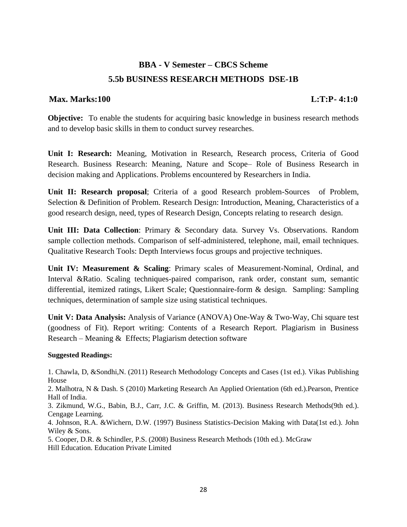# **BBA - V Semester – CBCS Scheme 5.5b BUSINESS RESEARCH METHODS DSE-1B**

## **Max. Marks:100 L:T:P- 4:1:0**

**Objective:** To enable the students for acquiring basic knowledge in business research methods and to develop basic skills in them to conduct survey researches.

**Unit I: Research:** Meaning, Motivation in Research, Research process, Criteria of Good Research. Business Research: Meaning, Nature and Scope– Role of Business Research in decision making and Applications. Problems encountered by Researchers in India.

**Unit II: Research proposal**; Criteria of a good Research problem-Sources of Problem, Selection & Definition of Problem. Research Design: Introduction, Meaning, Characteristics of a good research design, need, types of Research Design, Concepts relating to research design.

**Unit III: Data Collection**: Primary & Secondary data. Survey Vs. Observations. Random sample collection methods. Comparison of self-administered, telephone, mail, email techniques. Qualitative Research Tools: Depth Interviews focus groups and projective techniques.

**Unit IV: Measurement & Scaling**: Primary scales of Measurement-Nominal, Ordinal, and Interval &Ratio. Scaling techniques-paired comparison, rank order, constant sum, semantic differential, itemized ratings, Likert Scale; Questionnaire-form & design. Sampling: Sampling techniques, determination of sample size using statistical techniques.

**Unit V: Data Analysis:** Analysis of Variance (ANOVA) One-Way & Two-Way, Chi square test (goodness of Fit). Report writing: Contents of a Research Report. Plagiarism in Business Research – Meaning & Effects; Plagiarism detection software

#### **Suggested Readings:**

1. Chawla, D, &Sondhi,N. (2011) Research Methodology Concepts and Cases (1st ed.). Vikas Publishing House

2. Malhotra, N & Dash. S (2010) Marketing Research An Applied Orientation (6th ed.).Pearson, Prentice Hall of India.

3. Zikmund, W.G., Babin, B.J., Carr, J.C. & Griffin, M. (2013). Business Research Methods(9th ed.). Cengage Learning.

4. Johnson, R.A. &Wichern, D.W. (1997) Business Statistics-Decision Making with Data(1st ed.). John Wiley & Sons.

5. Cooper, D.R. & Schindler, P.S. (2008) Business Research Methods (10th ed.). McGraw Hill Education. Education Private Limited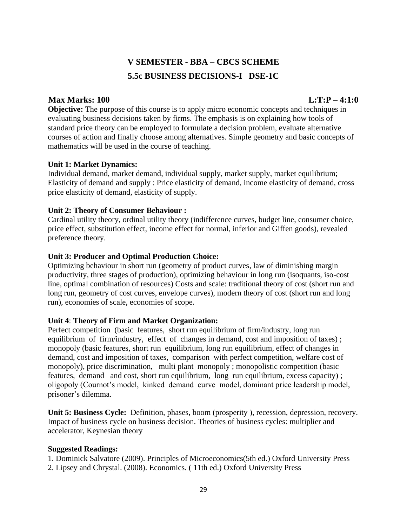# **V SEMESTER - BBA – CBCS SCHEME 5.5c BUSINESS DECISIONS-I DSE-1C**

## **Max Marks: 100 L:T:P – 4:1:0**

**Objective:** The purpose of this course is to apply micro economic concepts and techniques in evaluating business decisions taken by firms. The emphasis is on explaining how tools of standard price theory can be employed to formulate a decision problem, evaluate alternative courses of action and finally choose among alternatives. Simple geometry and basic concepts of mathematics will be used in the course of teaching.

## **Unit 1: Market Dynamics:**

Individual demand, market demand, individual supply, market supply, market equilibrium; Elasticity of demand and supply : Price elasticity of demand, income elasticity of demand, cross price elasticity of demand, elasticity of supply.

## **Unit 2: Theory of Consumer Behaviour :**

Cardinal utility theory, ordinal utility theory (indifference curves, budget line, consumer choice, price effect, substitution effect, income effect for normal, inferior and Giffen goods), revealed preference theory.

## **Unit 3: Producer and Optimal Production Choice:**

Optimizing behaviour in short run (geometry of product curves, law of diminishing margin productivity, three stages of production), optimizing behaviour in long run (isoquants, iso-cost line, optimal combination of resources) Costs and scale: traditional theory of cost (short run and long run, geometry of cost curves, envelope curves), modern theory of cost (short run and long run), economies of scale, economies of scope.

## **Unit 4**: **Theory of Firm and Market Organization:**

Perfect competition (basic features, short run equilibrium of firm/industry, long run equilibrium of firm/industry, effect of changes in demand, cost and imposition of taxes); monopoly (basic features, short run equilibrium, long run equilibrium, effect of changes in demand, cost and imposition of taxes, comparison with perfect competition, welfare cost of monopoly), price discrimination, multi plant monopoly ; monopolistic competition (basic features, demand and cost, short run equilibrium, long run equilibrium, excess capacity) ; oligopoly (Cournot's model, kinked demand curve model, dominant price leadership model, prisoner's dilemma.

**Unit 5: Business Cycle:** Definition, phases, boom (prosperity ), recession, depression, recovery. Impact of business cycle on business decision. Theories of business cycles: multiplier and accelerator, Keynesian theory

## **Suggested Readings:**

1. Dominick Salvatore (2009). Principles of Microeconomics(5th ed.) Oxford University Press 2. Lipsey and Chrystal. (2008). Economics. ( 11th ed.) Oxford University Press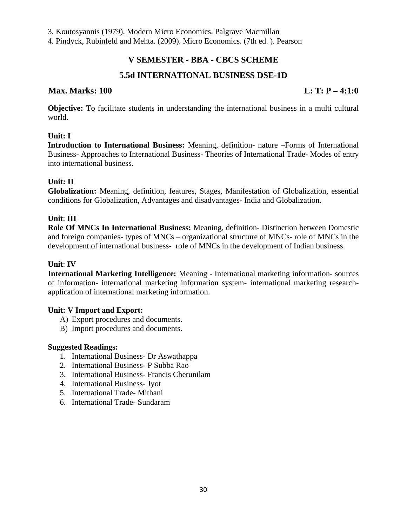3. Koutosyannis (1979). Modern Micro Economics. Palgrave Macmillan

4. Pindyck, Rubinfeld and Mehta. (2009). Micro Economics. (7th ed. ). Pearson

## **V SEMESTER - BBA - CBCS SCHEME**

## **5.5d INTERNATIONAL BUSINESS DSE-1D**

## **Max. Marks: 100 L: T: P – 4:1:0**

**Objective:** To facilitate students in understanding the international business in a multi cultural world.

## **Unit: I**

**Introduction to International Business:** Meaning, definition- nature –Forms of International Business- Approaches to International Business- Theories of International Trade- Modes of entry into international business.

## **Unit: II**

**Globalization:** Meaning, definition, features, Stages, Manifestation of Globalization, essential conditions for Globalization, Advantages and disadvantages- India and Globalization.

## **Unit**: **III**

**Role Of MNCs In International Business:** Meaning, definition- Distinction between Domestic and foreign companies- types of MNCs – organizational structure of MNCs- role of MNCs in the development of international business- role of MNCs in the development of Indian business.

## **Unit**: **IV**

**International Marketing Intelligence:** Meaning - International marketing information- sources of information- international marketing information system- international marketing researchapplication of international marketing information.

## **Unit: V Import and Export:**

- A) Export procedures and documents.
- B) Import procedures and documents.

- 1. International Business- Dr Aswathappa
- 2. International Business- P Subba Rao
- 3. International Business- Francis Cherunilam
- 4. International Business- Jyot
- 5. International Trade- Mithani
- 6. International Trade- Sundaram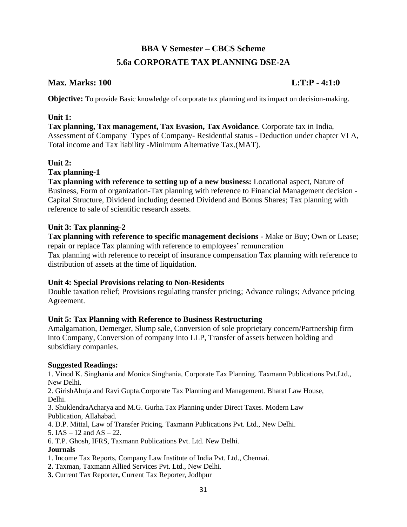# **BBA V Semester – CBCS Scheme 5.6a CORPORATE TAX PLANNING DSE-2A**

## **Max. Marks: 100 L:T:P - 4:1:0**

**Objective:** To provide Basic knowledge of corporate tax planning and its impact on decision-making.

## **Unit 1:**

**Tax planning, Tax management, Tax Evasion, Tax Avoidance**. Corporate tax in India, Assessment of Company–Types of Company- Residential status - Deduction under chapter VI A, Total income and Tax liability -Minimum Alternative Tax.(MAT).

## **Unit 2:**

## **Tax planning-1**

**Tax planning with reference to setting up of a new business:** Locational aspect, Nature of Business, Form of organization-Tax planning with reference to Financial Management decision - Capital Structure, Dividend including deemed Dividend and Bonus Shares; Tax planning with reference to sale of scientific research assets.

## **Unit 3: Tax planning-2**

**Tax planning with reference to specific management decisions** - Make or Buy; Own or Lease; repair or replace Tax planning with reference to employees' remuneration Tax planning with reference to receipt of insurance compensation Tax planning with reference to distribution of assets at the time of liquidation.

## **Unit 4: Special Provisions relating to Non-Residents**

Double taxation relief; Provisions regulating transfer pricing; Advance rulings; Advance pricing Agreement.

## **Unit 5: Tax Planning with Reference to Business Restructuring**

Amalgamation, Demerger, Slump sale, Conversion of sole proprietary concern/Partnership firm into Company, Conversion of company into LLP, Transfer of assets between holding and subsidiary companies.

## **Suggested Readings:**

1. Vinod K. Singhania and Monica Singhania, Corporate Tax Planning. Taxmann Publications Pvt.Ltd., New Delhi.

2. GirishAhuja and Ravi Gupta.Corporate Tax Planning and Management. Bharat Law House, Delhi.

3. ShuklendraAcharya and M.G. Gurha.Tax Planning under Direct Taxes. Modern Law Publication, Allahabad.

4. D.P. Mittal, Law of Transfer Pricing. Taxmann Publications Pvt. Ltd., New Delhi.

5.  $IAS - 12$  and  $AS - 22$ .

6. T.P. Ghosh, IFRS, Taxmann Publications Pvt. Ltd. New Delhi.

## **Journals**

- 1. Income Tax Reports, Company Law Institute of India Pvt. Ltd., Chennai.
- **2.** Taxman, Taxmann Allied Services Pvt. Ltd., New Delhi.
- **3.** Current Tax Reporter**,** Current Tax Reporter, Jodhpur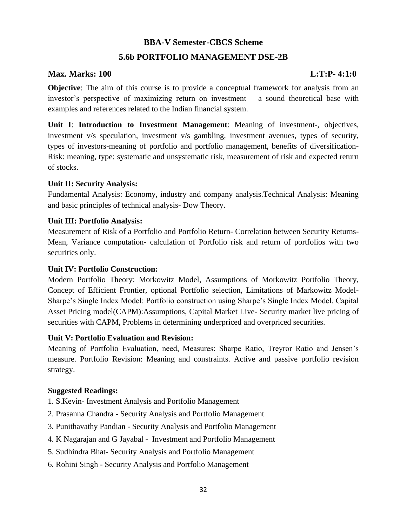## **BBA-V Semester-CBCS Scheme**

## **5.6b PORTFOLIO MANAGEMENT DSE-2B**

## **Max. Marks: 100 L:T:P- 4:1:0**

**Objective**: The aim of this course is to provide a conceptual framework for analysis from an investor's perspective of maximizing return on investment – a sound theoretical base with examples and references related to the Indian financial system.

**Unit I**: **Introduction to Investment Management**: Meaning of investment-, objectives, investment v/s speculation, investment v/s gambling, investment avenues, types of security, types of investors-meaning of portfolio and portfolio management, benefits of diversification-Risk: meaning, type: systematic and unsystematic risk, measurement of risk and expected return of stocks.

## **Unit II: Security Analysis:**

Fundamental Analysis: Economy, industry and company analysis.Technical Analysis: Meaning and basic principles of technical analysis- Dow Theory.

## **Unit III: Portfolio Analysis:**

Measurement of Risk of a Portfolio and Portfolio Return- Correlation between Security Returns-Mean, Variance computation- calculation of Portfolio risk and return of portfolios with two securities only.

## **Unit IV: Portfolio Construction:**

Modern Portfolio Theory: Morkowitz Model, Assumptions of Morkowitz Portfolio Theory, Concept of Efficient Frontier, optional Portfolio selection, Limitations of Markowitz Model-Sharpe's Single Index Model: Portfolio construction using Sharpe's Single Index Model. Capital Asset Pricing model(CAPM):Assumptions, Capital Market Live- Security market live pricing of securities with CAPM, Problems in determining underpriced and overpriced securities.

#### **Unit V: Portfolio Evaluation and Revision:**

Meaning of Portfolio Evaluation, need, Measures: Sharpe Ratio, Treyror Ratio and Jensen's measure. Portfolio Revision: Meaning and constraints. Active and passive portfolio revision strategy.

- 1. S.Kevin- Investment Analysis and Portfolio Management
- 2. Prasanna Chandra Security Analysis and Portfolio Management
- 3. Punithavathy Pandian Security Analysis and Portfolio Management
- 4. K Nagarajan and G Jayabal Investment and Portfolio Management
- 5. Sudhindra Bhat- Security Analysis and Portfolio Management
- 6. Rohini Singh Security Analysis and Portfolio Management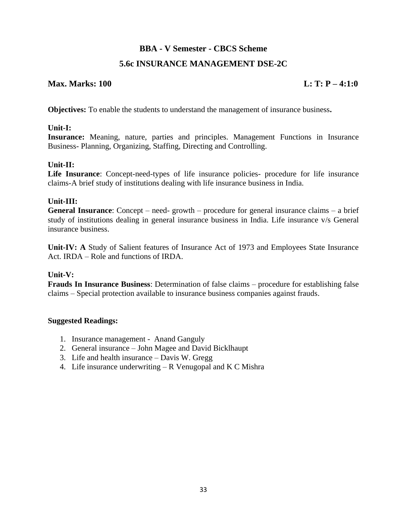## **BBA - V Semester - CBCS Scheme**

## **5.6c INSURANCE MANAGEMENT DSE-2C**

## **Max. Marks: 100 L: T: P** – 4:1:0

**Objectives:** To enable the students to understand the management of insurance business**.** 

## **Unit-I:**

**Insurance:** Meaning, nature, parties and principles. Management Functions in Insurance Business- Planning, Organizing, Staffing, Directing and Controlling.

## **Unit-II:**

**Life Insurance**: Concept-need-types of life insurance policies- procedure for life insurance claims-A brief study of institutions dealing with life insurance business in India.

## **Unit-III:**

**General Insurance**: Concept – need- growth – procedure for general insurance claims – a brief study of institutions dealing in general insurance business in India. Life insurance v/s General insurance business.

**Unit-IV: A** Study of Salient features of Insurance Act of 1973 and Employees State Insurance Act. IRDA – Role and functions of IRDA.

## **Unit-V:**

**Frauds In Insurance Business**: Determination of false claims – procedure for establishing false claims – Special protection available to insurance business companies against frauds.

- 1. Insurance management Anand Ganguly
- 2. General insurance John Magee and David Bicklhaupt
- 3. Life and health insurance Davis W. Gregg
- 4. Life insurance underwriting  $-R$  Venugopal and K C Mishra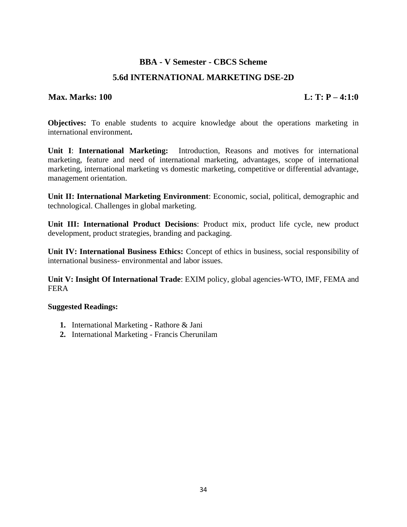## **BBA - V Semester - CBCS Scheme**

## **5.6d INTERNATIONAL MARKETING DSE-2D**

## **Max. Marks: 100 L: T: P – 4:1:0**

**Objectives:** To enable students to acquire knowledge about the operations marketing in international environment**.** 

**Unit I**: **International Marketing:** Introduction, Reasons and motives for international marketing, feature and need of international marketing, advantages, scope of international marketing, international marketing vs domestic marketing, competitive or differential advantage, management orientation.

**Unit II: International Marketing Environment**: Economic, social, political, demographic and technological. Challenges in global marketing.

**Unit III: International Product Decisions**: Product mix, product life cycle, new product development, product strategies, branding and packaging.

**Unit IV: International Business Ethics:** Concept of ethics in business, social responsibility of international business- environmental and labor issues.

**Unit V: Insight Of International Trade**: EXIM policy, global agencies-WTO, IMF, FEMA and FERA

- **1.** International Marketing **-** Rathore & Jani
- **2.** International Marketing Francis Cherunilam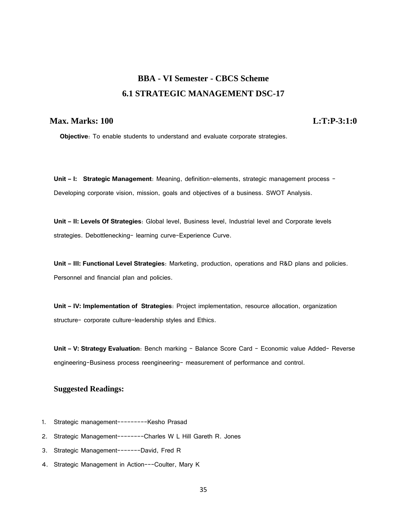# **BBA - VI Semester - CBCS Scheme 6.1 STRATEGIC MANAGEMENT DSC-17**

## **Max. Marks: 100 L:T:P-3:1:0**

**Objective**: To enable students to understand and evaluate corporate strategies.

**Unit – I: Strategic Management**: Meaning, definition-elements, strategic management process - Developing corporate vision, mission, goals and objectives of a business. SWOT Analysis.

**Unit – II: Levels Of Strategies**: Global level, Business level, Industrial level and Corporate levels strategies. Debottlenecking- learning curve-Experience Curve.

**Unit – III: Functional Level Strategies**: Marketing, production, operations and R&D plans and policies. Personnel and financial plan and policies.

**Unit – IV: Implementation of Strategies**: Project implementation, resource allocation, organization structure- corporate culture-leadership styles and Ethics.

**Unit – V: Strategy Evaluation**: Bench marking - Balance Score Card – Economic value Added- Reverse engineering-Business process reengineering- measurement of performance and control.

- 1. Strategic management---------Kesho Prasad
- 2. Strategic Management--------Charles W L Hill Gareth R. Jones
- 3. Strategic Management-------David, Fred R
- 4. Strategic Management in Action---Coulter, Mary K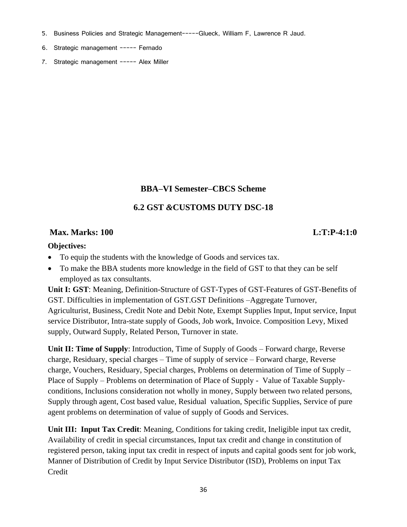- 5. Business Policies and Strategic Management-----Glueck, William F, Lawrence R Jaud.
- 6. Strategic management ----- Fernado
- 7. Strategic management ----- Alex Miller

## **BBA–VI Semester–CBCS Scheme**

## **6.2 GST** *&***CUSTOMS DUTY DSC-18**

## **Max. Marks: 100 L:T:P-4:1:0**

## **Objectives:**

- To equip the students with the knowledge of Goods and services tax.
- To make the BBA students more knowledge in the field of GST to that they can be self employed as tax consultants.

**Unit I: GST**: Meaning, Definition-Structure of GST-Types of GST-Features of GST-Benefits of GST. Difficulties in implementation of GST.GST Definitions –Aggregate Turnover, Agriculturist, Business, Credit Note and Debit Note, Exempt Supplies Input, Input service, Input service Distributor, Intra-state supply of Goods, Job work, Invoice. Composition Levy, Mixed supply, Outward Supply, Related Person, Turnover in state.

**Unit II: Time of Supply**: Introduction, Time of Supply of Goods – Forward charge, Reverse charge, Residuary, special charges – Time of supply of service – Forward charge, Reverse charge, Vouchers, Residuary, Special charges, Problems on determination of Time of Supply – Place of Supply – Problems on determination of Place of Supply - Value of Taxable Supplyconditions, Inclusions consideration not wholly in money, Supply between two related persons, Supply through agent, Cost based value, Residual valuation, Specific Supplies, Service of pure agent problems on determination of value of supply of Goods and Services.

**Unit III: Input Tax Credit**: Meaning, Conditions for taking credit, Ineligible input tax credit, Availability of credit in special circumstances, Input tax credit and change in constitution of registered person, taking input tax credit in respect of inputs and capital goods sent for job work, Manner of Distribution of Credit by Input Service Distributor (ISD), Problems on input Tax **Credit**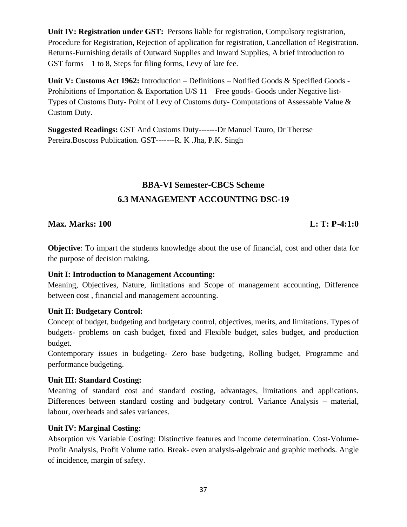**Unit IV: Registration under GST:** Persons liable for registration, Compulsory registration, Procedure for Registration, Rejection of application for registration, Cancellation of Registration. Returns-Furnishing details of Outward Supplies and Inward Supplies, A brief introduction to GST forms – 1 to 8, Steps for filing forms, Levy of late fee.

**Unit V: Customs Act 1962:** Introduction – Definitions – Notified Goods & Specified Goods - Prohibitions of Importation & Exportation U/S 11 – Free goods- Goods under Negative list-Types of Customs Duty- Point of Levy of Customs duty- Computations of Assessable Value & Custom Duty.

**Suggested Readings:** GST And Customs Duty-------Dr Manuel Tauro, Dr Therese Pereira.Boscoss Publication. GST-------R. K .Jha, P.K. Singh

# **BBA-VI Semester-CBCS Scheme 6.3 MANAGEMENT ACCOUNTING DSC-19**

## **Max. Marks: 100 L: T: P-4:1:0**

**Objective**: To impart the students knowledge about the use of financial, cost and other data for the purpose of decision making.

## **Unit I: Introduction to Management Accounting:**

Meaning, Objectives, Nature, limitations and Scope of management accounting, Difference between cost , financial and management accounting.

## **Unit II: Budgetary Control:**

Concept of budget, budgeting and budgetary control, objectives, merits, and limitations. Types of budgets- problems on cash budget, fixed and Flexible budget, sales budget, and production budget.

Contemporary issues in budgeting- Zero base budgeting, Rolling budget, Programme and performance budgeting.

## **Unit III: Standard Costing:**

Meaning of standard cost and standard costing, advantages, limitations and applications. Differences between standard costing and budgetary control. Variance Analysis – material, labour, overheads and sales variances.

## **Unit IV: Marginal Costing:**

Absorption v/s Variable Costing: Distinctive features and income determination. Cost-Volume-Profit Analysis, Profit Volume ratio. Break- even analysis-algebraic and graphic methods. Angle of incidence, margin of safety.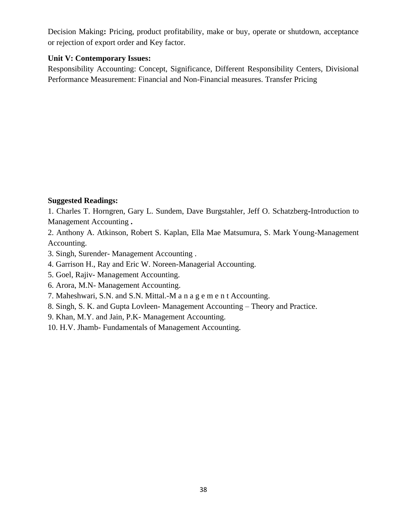Decision Making**:** Pricing, product profitability, make or buy, operate or shutdown, acceptance or rejection of export order and Key factor.

## **Unit V: Contemporary Issues:**

Responsibility Accounting: Concept, Significance, Different Responsibility Centers, Divisional Performance Measurement: Financial and Non-Financial measures. Transfer Pricing

## **Suggested Readings:**

1. Charles T. Horngren, Gary L. Sundem, Dave Burgstahler, Jeff O. Schatzberg**-**Introduction to Management Accounting **.**

2. Anthony A. Atkinson, Robert S. Kaplan, Ella Mae Matsumura, S. Mark Young-Management Accounting.

3. Singh, Surender- Management Accounting .

- 4. Garrison H., Ray and Eric W. Noreen-Managerial Accounting.
- 5. Goel, Rajiv- Management Accounting.
- 6. Arora, M.N- Management Accounting.
- 7. Maheshwari, S.N. and S.N. Mittal.-M a n a g e m e n t Accounting.
- 8. Singh, S. K. and Gupta Lovleen- Management Accounting Theory and Practice.
- 9. Khan, M.Y. and Jain, P.K- Management Accounting.
- 10. H.V. Jhamb- Fundamentals of Management Accounting.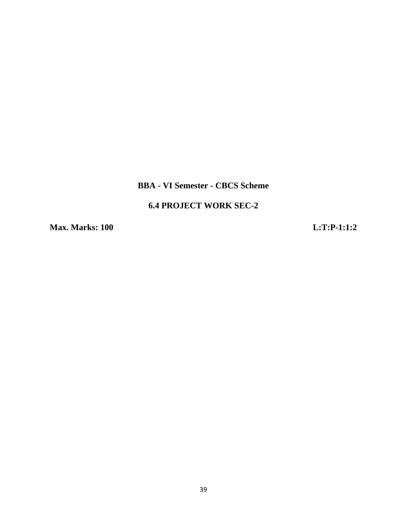## **BBA - VI Semester - CBCS Scheme**

## **6.4 PROJECT WORK SEC-2**

**Max. Marks: 100 L:T:P-1:1:2**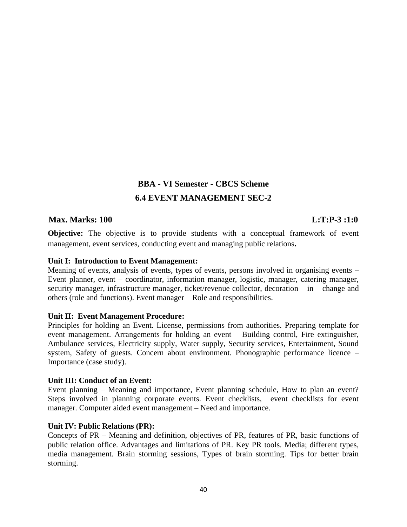# **BBA - VI Semester - CBCS Scheme 6.4 EVENT MANAGEMENT SEC-2**

## **Max. Marks: 100 L:T:P-3 :1:0**

**Objective:** The objective is to provide students with a conceptual framework of event management, event services, conducting event and managing public relations**.**

#### **Unit I: Introduction to Event Management:**

Meaning of events, analysis of events, types of events, persons involved in organising events – Event planner, event – coordinator, information manager, logistic, manager, catering manager, security manager, infrastructure manager, ticket/revenue collector, decoration – in – change and others (role and functions). Event manager – Role and responsibilities.

## **Unit II: Event Management Procedure:**

Principles for holding an Event. License, permissions from authorities. Preparing template for event management. Arrangements for holding an event – Building control, Fire extinguisher, Ambulance services, Electricity supply, Water supply, Security services, Entertainment, Sound system, Safety of guests. Concern about environment. Phonographic performance licence – Importance (case study).

## **Unit III: Conduct of an Event:**

Event planning – Meaning and importance, Event planning schedule, How to plan an event? Steps involved in planning corporate events. Event checklists, event checklists for event manager. Computer aided event management – Need and importance.

## **Unit IV: Public Relations (PR):**

Concepts of PR – Meaning and definition, objectives of PR, features of PR, basic functions of public relation office. Advantages and limitations of PR. Key PR tools. Media; different types, media management. Brain storming sessions, Types of brain storming. Tips for better brain storming.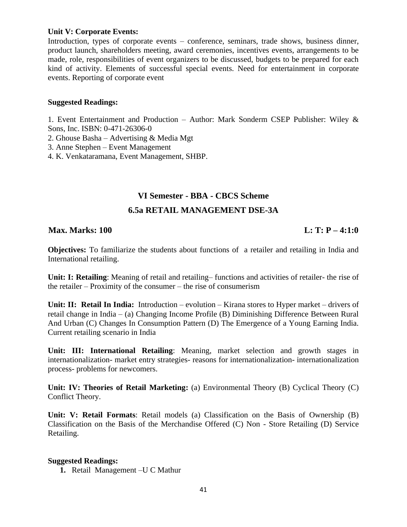## **Unit V: Corporate Events:**

Introduction, types of corporate events – conference, seminars, trade shows, business dinner, product launch, shareholders meeting, award ceremonies, incentives events, arrangements to be made, role, responsibilities of event organizers to be discussed, budgets to be prepared for each kind of activity. Elements of successful special events. Need for entertainment in corporate events. Reporting of corporate event

## **Suggested Readings:**

1. Event Entertainment and Production – Author: Mark Sonderm CSEP Publisher: Wiley & Sons, Inc. ISBN: 0-471-26306-0

- 2. Ghouse Basha Advertising & Media Mgt
- 3. Anne Stephen Event Management
- 4. K. Venkataramana, Event Management, SHBP.

## **VI Semester - BBA - CBCS Scheme**

## **6.5a RETAIL MANAGEMENT DSE-3A**

## **Max. Marks: 100 L: T: P – 4:1:0**

**Objectives:** To familiarize the students about functions of a retailer and retailing in India and International retailing.

**Unit: I: Retailing**: Meaning of retail and retailing– functions and activities of retailer- the rise of the retailer – Proximity of the consumer – the rise of consumerism

**Unit: II: Retail In India:** Introduction – evolution – Kirana stores to Hyper market – drivers of retail change in India – (a) Changing Income Profile (B) Diminishing Difference Between Rural And Urban (C) Changes In Consumption Pattern (D) The Emergence of a Young Earning India. Current retailing scenario in India

**Unit: III: International Retailing**: Meaning, market selection and growth stages in internationalization- market entry strategies- reasons for internationalization- internationalization process- problems for newcomers.

**Unit: IV: Theories of Retail Marketing:** (a) Environmental Theory (B) Cyclical Theory (C) Conflict Theory.

**Unit: V: Retail Formats**: Retail models (a) Classification on the Basis of Ownership (B) Classification on the Basis of the Merchandise Offered (C) Non - Store Retailing (D) Service Retailing.

#### **Suggested Readings:**

**1.** Retail Management –U C Mathur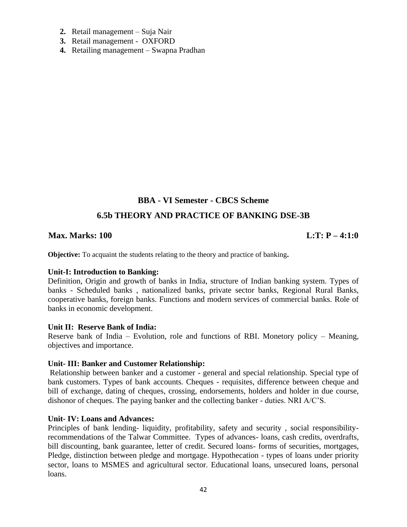- **2.** Retail management Suja Nair
- **3.** Retail management OXFORD
- **4.** Retailing management Swapna Pradhan

## **BBA - VI Semester - CBCS Scheme**

## **6.5b THEORY AND PRACTICE OF BANKING DSE-3B**

## **Max. Marks: 100 L:T: P – 4:1:0**

**Objective:** To acquaint the students relating to the theory and practice of banking**.**

#### **Unit-I: Introduction to Banking:**

Definition, Origin and growth of banks in India, structure of Indian banking system. Types of banks - Scheduled banks , nationalized banks, private sector banks, Regional Rural Banks, cooperative banks, foreign banks. Functions and modern services of commercial banks. Role of banks in economic development.

#### **Unit II: Reserve Bank of India:**

Reserve bank of India – Evolution, role and functions of RBI. Monetory policy – Meaning, objectives and importance.

#### **Unit- III: Banker and Customer Relationship:**

Relationship between banker and a customer - general and special relationship. Special type of bank customers. Types of bank accounts. Cheques - requisites, difference between cheque and bill of exchange, dating of cheques, crossing, endorsements, holders and holder in due course, dishonor of cheques. The paying banker and the collecting banker - duties. NRI A/C'S.

#### **Unit- IV: Loans and Advances:**

Principles of bank lending- liquidity, profitability, safety and security , social responsibilityrecommendations of the Talwar Committee. Types of advances- loans, cash credits, overdrafts, bill discounting, bank guarantee, letter of credit. Secured loans- forms of securities, mortgages, Pledge, distinction between pledge and mortgage. Hypothecation - types of loans under priority sector, loans to MSMES and agricultural sector. Educational loans, unsecured loans, personal loans.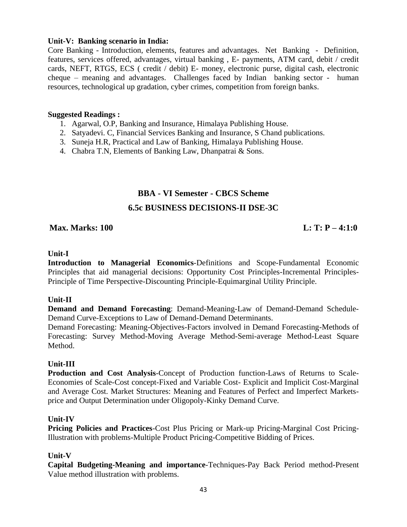## **Unit-V: Banking scenario in India:**

Core Banking - Introduction, elements, features and advantages. Net Banking - Definition, features, services offered, advantages, virtual banking , E- payments, ATM card, debit / credit cards, NEFT, RTGS, ECS ( credit / debit) E- money, electronic purse, digital cash, electronic cheque – meaning and advantages. Challenges faced by Indian banking sector - human resources, technological up gradation, cyber crimes, competition from foreign banks.

## **Suggested Readings :**

- 1. Agarwal, O.P, Banking and Insurance, Himalaya Publishing House.
- 2. Satyadevi. C, Financial Services Banking and Insurance, S Chand publications.
- 3. Suneja H.R, Practical and Law of Banking, Himalaya Publishing House.
- 4. Chabra T.N, Elements of Banking Law, Dhanpatrai & Sons.

## **BBA - VI Semester - CBCS Scheme**

## **6.5c BUSINESS DECISIONS-II DSE-3C**

## **Max. Marks: 100** L: T:  $P - 4:1:0$

### **Unit-I**

**Introduction to Managerial Economics**-Definitions and Scope-Fundamental Economic Principles that aid managerial decisions: Opportunity Cost Principles-Incremental Principles-Principle of Time Perspective-Discounting Principle-Equimarginal Utility Principle.

## **Unit-II**

**Demand and Demand Forecasting**: Demand-Meaning-Law of Demand-Demand Schedule-Demand Curve-Exceptions to Law of Demand-Demand Determinants.

Demand Forecasting: Meaning-Objectives-Factors involved in Demand Forecasting-Methods of Forecasting: Survey Method-Moving Average Method-Semi-average Method-Least Square Method.

## **Unit-III**

**Production and Cost Analysis**-Concept of Production function-Laws of Returns to Scale-Economies of Scale-Cost concept-Fixed and Variable Cost- Explicit and Implicit Cost-Marginal and Average Cost. Market Structures: Meaning and Features of Perfect and Imperfect Marketsprice and Output Determination under Oligopoly-Kinky Demand Curve.

## **Unit-IV**

**Pricing Policies and Practices**-Cost Plus Pricing or Mark-up Pricing-Marginal Cost Pricing-Illustration with problems-Multiple Product Pricing-Competitive Bidding of Prices.

## **Unit-V**

**Capital Budgeting-Meaning and importance**-Techniques-Pay Back Period method-Present Value method illustration with problems.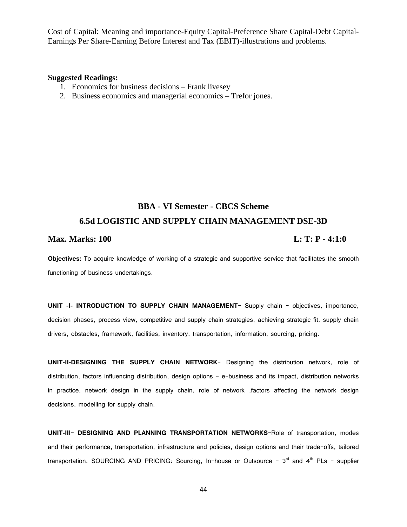Cost of Capital: Meaning and importance-Equity Capital-Preference Share Capital-Debt Capital-Earnings Per Share-Earning Before Interest and Tax (EBIT)-illustrations and problems.

#### **Suggested Readings:**

- 1. Economics for business decisions Frank livesey
- 2. Business economics and managerial economics Trefor jones.

# **BBA - VI Semester - CBCS Scheme 6.5d LOGISTIC AND SUPPLY CHAIN MANAGEMENT DSE-3D**

## **Max. Marks: 100 L: T: P - 4:1:0**

**Objectives:** To acquire knowledge of working of a strategic and supportive service that facilitates the smooth functioning of business undertakings.

**UNIT -I- INTRODUCTION TO SUPPLY CHAIN MANAGEMENT**- Supply chain – objectives, importance, decision phases, process view, competitive and supply chain strategies, achieving strategic fit, supply chain drivers, obstacles, framework, facilities, inventory, transportation, information, sourcing, pricing.

**UNIT-II-DESIGNING THE SUPPLY CHAIN NETWORK**- Designing the distribution network, role of distribution, factors influencing distribution, design options – e-business and its impact, distribution networks in practice, network design in the supply chain, role of network ,factors affecting the network design decisions, modelling for supply chain.

**UNIT-III**- **DESIGNING AND PLANNING TRANSPORTATION NETWORKS**-Role of transportation, modes and their performance, transportation, infrastructure and policies, design options and their trade-offs, tailored transportation. SOURCING AND PRICING: Sourcing, In-house or Outsource -  $3<sup>rd</sup>$  and  $4<sup>th</sup>$  PLs - supplier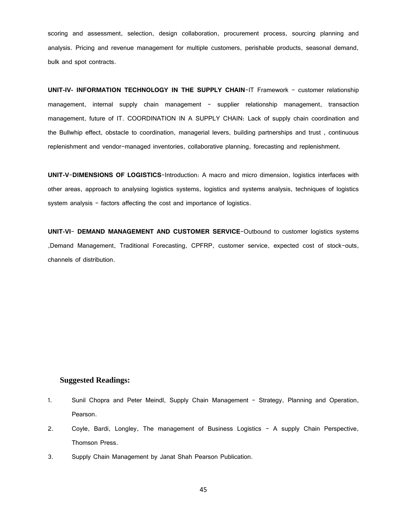scoring and assessment, selection, design collaboration, procurement process, sourcing planning and analysis. Pricing and revenue management for multiple customers, perishable products, seasonal demand, bulk and spot contracts.

**UNIT-IV- INFORMATION TECHNOLOGY IN THE SUPPLY CHAIN**-IT Framework – customer relationship management, internal supply chain management – supplier relationship management, transaction management, future of IT. COORDINATION IN A SUPPLY CHAIN: Lack of supply chain coordination and the Bullwhip effect, obstacle to coordination, managerial levers, building partnerships and trust , continuous replenishment and vendor-managed inventories, collaborative planning, forecasting and replenishment.

**UNIT-V**-**DIMENSIONS OF LOGISTICS**-Introduction: A macro and micro dimension, logistics interfaces with other areas, approach to analysing logistics systems, logistics and systems analysis, techniques of logistics system analysis – factors affecting the cost and importance of logistics.

**UNIT-VI**- **DEMAND MANAGEMENT AND CUSTOMER SERVICE**-Outbound to customer logistics systems ,Demand Management, Traditional Forecasting, CPFRP, customer service, expected cost of stock-outs, channels of distribution.

#### **Suggested Readings:**

- 1. Sunil Chopra and Peter Meindl, Supply Chain Management Strategy, Planning and Operation, Pearson.
- 2. Coyle, Bardi, Longley, The management of Business Logistics A supply Chain Perspective, Thomson Press.
- 3. Supply Chain Management by Janat Shah Pearson Publication.

45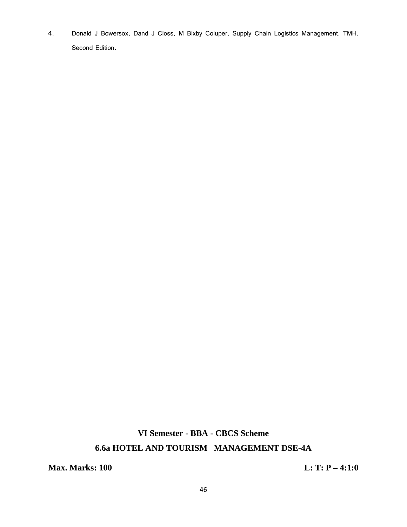4. Donald J Bowersox, Dand J Closs, M Bixby Coluper, Supply Chain Logistics Management, TMH, Second Edition.

# **VI Semester - BBA - CBCS Scheme 6.6a HOTEL AND TOURISM MANAGEMENT DSE-4A**

**Max. Marks: 100 L: T: P – 4:1:0**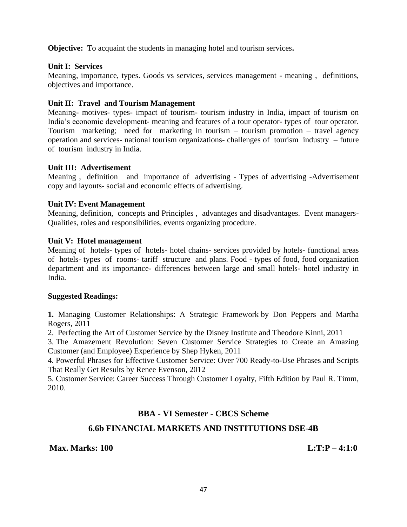**Objective:** To acquaint the students in managing hotel and tourism services**.** 

## **Unit I: Services**

Meaning, importance, types. Goods vs services, services management - meaning , definitions, objectives and importance.

## **Unit II: Travel and Tourism Management**

Meaning- motives- types- impact of tourism- tourism industry in India, impact of tourism on India's economic development- meaning and features of a tour operator- types of tour operator. Tourism marketing; need for marketing in tourism – tourism promotion – travel agency operation and services- national tourism organizations- challenges of tourism industry – future of tourism industry in India.

## **Unit III: Advertisement**

Meaning , definition and importance of advertising - Types of advertising -Advertisement copy and layouts- social and economic effects of advertising.

## **Unit IV: Event Management**

Meaning, definition, concepts and Principles , advantages and disadvantages. Event managers-Qualities, roles and responsibilities, events organizing procedure.

## **Unit V: Hotel management**

Meaning of hotels- types of hotels- hotel chains- services provided by hotels- functional areas of hotels- types of rooms- tariff structure and plans. Food - types of food, food organization department and its importance- differences between large and small hotels- hotel industry in India.

## **Suggested Readings:**

**1.** [Managing Customer Relationships: A Strategic Framework](http://www.amazon.com/gp/product/0470423471/ref=as_li_ss_tl?ie=UTF8&camp=1789&creative=390957&creativeASIN=0470423471&linkCode=as2&tag=reainc0a-20) by Don Peppers and Martha Rogers, 2011

2. [Perfecting the Art of Customer Service](http://www.amazon.com/gp/product/1423145844/ref=as_li_ss_tl?ie=UTF8&camp=1789&creative=390957&creativeASIN=1423145844&linkCode=as2&tag=reainc0a-20) by the Disney Institute and Theodore Kinni, 2011

3. [The Amazement Revolution: Seven Customer](http://www.amazon.com/gp/product/1608321061/ref=as_li_ss_tl?ie=UTF8&camp=1789&creative=390957&creativeASIN=1608321061&linkCode=as2&tag=reainc0a-20) Service Strategies to Create an Amazing [Customer \(and Employee\) Experience](http://www.amazon.com/gp/product/1608321061/ref=as_li_ss_tl?ie=UTF8&camp=1789&creative=390957&creativeASIN=1608321061&linkCode=as2&tag=reainc0a-20) by Shep Hyken, 2011

4. [Powerful Phrases for Effective Customer Service: Over 700 Ready-to-Use Phrases and Scripts](http://www.amazon.com/gp/product/081442032X/ref=as_li_ss_tl?ie=UTF8&camp=1789&creative=390957&creativeASIN=081442032X&linkCode=as2&tag=reainc0a-20)  [That Really Get Results](http://www.amazon.com/gp/product/081442032X/ref=as_li_ss_tl?ie=UTF8&camp=1789&creative=390957&creativeASIN=081442032X&linkCode=as2&tag=reainc0a-20) by Renee Evenson, 2012

5. [Customer Service: Career Success Through Customer Loyalty, Fifth Edition](http://www.amazon.com/gp/product/0135063973/ref=as_li_ss_tl?ie=UTF8&camp=1789&creative=390957&creativeASIN=0135063973&linkCode=as2&tag=reainc0a-20) by Paul R. Timm, 2010.

## **BBA - VI Semester - CBCS Scheme**

## **6.6b FINANCIAL MARKETS AND INSTITUTIONS DSE-4B**

## **Max. Marks: 100 L:T:P – 4:1:0**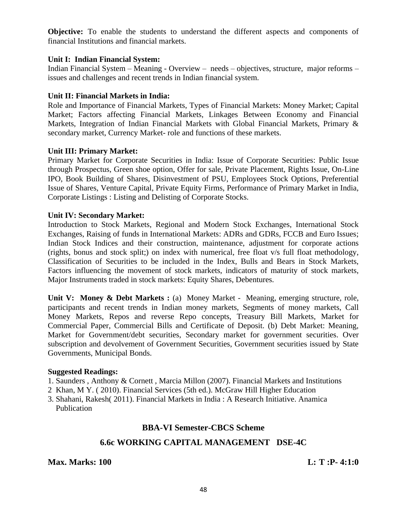**Objective:** To enable the students to understand the different aspects and components of financial Institutions and financial markets.

## **Unit I: Indian Financial System:**

Indian Financial System – Meaning - Overview – needs – objectives, structure, major reforms – issues and challenges and recent trends in Indian financial system.

## **Unit II: Financial Markets in India:**

Role and Importance of Financial Markets, Types of Financial Markets: Money Market; Capital Market; Factors affecting Financial Markets, Linkages Between Economy and Financial Markets, Integration of Indian Financial Markets with Global Financial Markets, Primary & secondary market, Currency Market- role and functions of these markets.

## **Unit III: Primary Market:**

Primary Market for Corporate Securities in India: Issue of Corporate Securities: Public Issue through Prospectus, Green shoe option, Offer for sale, Private Placement, Rights Issue, On-Line IPO, Book Building of Shares, Disinvestment of PSU, Employees Stock Options, Preferential Issue of Shares, Venture Capital, Private Equity Firms, Performance of Primary Market in India, Corporate Listings : Listing and Delisting of Corporate Stocks.

## **Unit IV: Secondary Market:**

Introduction to Stock Markets, Regional and Modern Stock Exchanges, International Stock Exchanges, Raising of funds in International Markets: ADRs and GDRs, FCCB and Euro Issues; Indian Stock Indices and their construction, maintenance, adjustment for corporate actions (rights, bonus and stock split;) on index with numerical, free float v/s full float methodology, Classification of Securities to be included in the Index, Bulls and Bears in Stock Markets, Factors influencing the movement of stock markets, indicators of maturity of stock markets, Major Instruments traded in stock markets: Equity Shares, Debentures.

Unit V: Money & Debt Markets : (a) Money Market - Meaning, emerging structure, role, participants and recent trends in Indian money markets, Segments of money markets, Call Money Markets, Repos and reverse Repo concepts, Treasury Bill Markets, Market for Commercial Paper, Commercial Bills and Certificate of Deposit. (b) Debt Market: Meaning, Market for Government/debt securities, Secondary market for government securities. Over subscription and devolvement of Government Securities, Government securities issued by State Governments, Municipal Bonds.

## **Suggested Readings:**

- 1. Saunders , Anthony & Cornett , Marcia Millon (2007). Financial Markets and Institutions
- 2 Khan, M Y. ( 2010). Financial Services (5th ed.). McGraw Hill Higher Education
- 3. Shahani, Rakesh( 2011). Financial Markets in India : A Research Initiative. Anamica **Publication**

## **BBA-VI Semester-CBCS Scheme**

## **6.6c WORKING CAPITAL MANAGEMENT DSE-4C**

**Max. Marks: 100 L: T** :P-4:1:0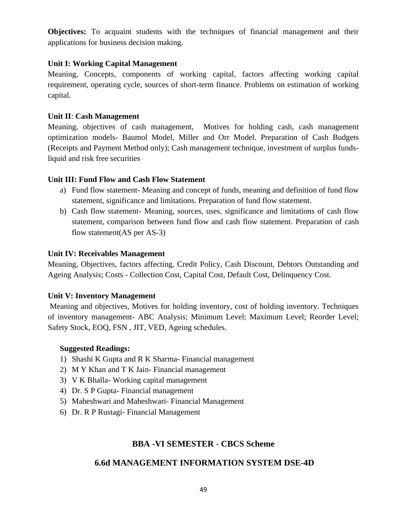**Objectives:** To acquaint students with the techniques of financial management and their applications for business decision making.

## **Unit I: Working Capital Management**

Meaning, Concepts, components of working capital, factors affecting working capital requirement, operating cycle, sources of short-term finance. Problems on estimation of working capital.

## **Unit II**: **Cash Management**

Meaning, objectives of cash management, Motives for holding cash, cash management optimization models- Baumol Model, Miller and Orr Model. Preparation of Cash Budgets (Receipts and Payment Method only); Cash management technique, investment of surplus fundsliquid and risk free securities

## **Unit III: Fund Flow and Cash Flow Statement**

- a) Fund flow statement- Meaning and concept of funds, meaning and definition of fund flow statement, significance and limitations. Preparation of fund flow statement.
- b) Cash flow statement- Meaning, sources, uses, significance and limitations of cash flow statement, comparison between fund flow and cash flow statement. Preparation of cash flow statement(AS per AS-3)

## **Unit IV: Receivables Management**

Meaning, Objectives, factors affecting, Credit Policy, Cash Discount, Debtors Outstanding and Ageing Analysis; Costs - Collection Cost, Capital Cost, Default Cost, Delinquency Cost.

## **Unit V: Inventory Management**

Meaning and objectives, Motives for holding inventory, cost of holding inventory. Techniques of inventory management- ABC Analysis; Minimum Level; Maximum Level; Reorder Level; Safety Stock, EOQ, FSN , JIT, VED, Ageing schedules.

## **Suggested Readings:**

- 1) Shashi K Gupta and R K Sharma- Financial management
- 2) M Y Khan and T K Jain- Financial management
- 3) V K Bhalla- Working capital management
- 4) Dr. S P Gupta- Financial management
- 5) Maheshwari and Maheshwari- Financial Management
- 6) Dr. R P Rustagi- Financial Management

## **BBA -VI SEMESTER - CBCS Scheme**

## **6.6d MANAGEMENT INFORMATION SYSTEM DSE-4D**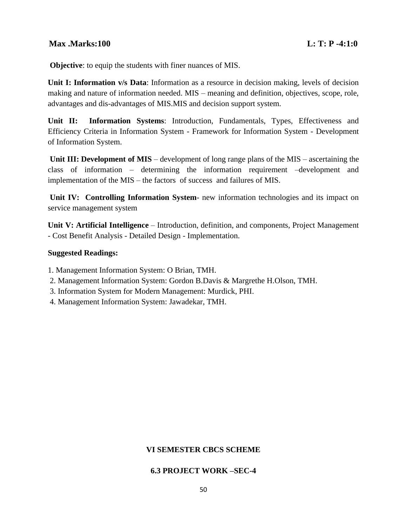## **Max .Marks:100 L: T: P -4:1:0**

**Objective**: to equip the students with finer nuances of MIS.

**Unit I: Information v/s Data**: Information as a resource in decision making, levels of decision making and nature of information needed. MIS – meaning and definition, objectives, scope, role, advantages and dis-advantages of MIS.MIS and decision support system.

**Unit II: Information Systems**: Introduction, Fundamentals, Types, Effectiveness and Efficiency Criteria in Information System - Framework for Information System - Development of Information System.

**Unit III: Development of MIS** – development of long range plans of the MIS – ascertaining the class of information – determining the information requirement –development and implementation of the MIS – the factors of success and failures of MIS.

**Unit IV: Controlling Information System**- new information technologies and its impact on service management system

**Unit V: Artificial Intelligence** – Introduction, definition, and components, Project Management - Cost Benefit Analysis - Detailed Design - Implementation.

### **Suggested Readings:**

1. Management Information System: O Brian, TMH.

- 2. Management Information System: Gordon B.Davis & Margrethe H.Olson, TMH.
- 3. Information System for Modern Management: Murdick, PHI.
- 4. Management Information System: Jawadekar, TMH.

## **VI SEMESTER CBCS SCHEME**

#### **6.3 PROJECT WORK –SEC-4**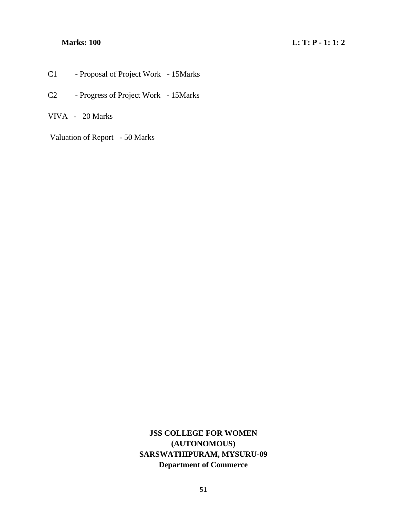- C1 Proposal of Project Work 15Marks
- C2 Progress of Project Work 15Marks

VIVA - 20 Marks

Valuation of Report - 50 Marks

**JSS COLLEGE FOR WOMEN (AUTONOMOUS) SARSWATHIPURAM, MYSURU-09 Department of Commerce**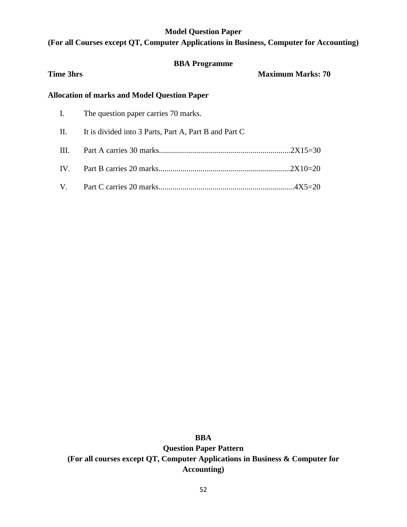### **Model Question Paper**

## **(For all Courses except QT, Computer Applications in Business, Computer for Accounting)**

# **BBA Programme Time 3hrs Maximum Marks: 70 Allocation of marks and Model Question Paper**  I. The question paper carries 70 marks. II. It is divided into 3 Parts, Part A, Part B and Part C III. Part A carries 30 marks..................................................................2X15=30 IV. Part B carries 20 marks..................................................................2X10=20 V. Part C carries 20 marks....................................................................4X5=20

**BBA**

**Question Paper Pattern (For all courses except QT, Computer Applications in Business & Computer for Accounting)**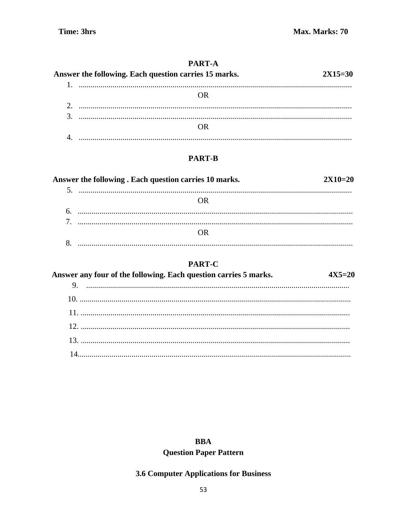## PART-A

| Answer the following. Each question carries 15 marks. | $2X15=30$ |
|-------------------------------------------------------|-----------|
|                                                       |           |
|                                                       |           |
|                                                       |           |
|                                                       |           |
|                                                       |           |
|                                                       |           |

## **PART-B**

| Answer the following. Each question carries 10 marks. | $2X10=20$ |
|-------------------------------------------------------|-----------|
|                                                       |           |
|                                                       |           |
|                                                       |           |
|                                                       |           |
|                                                       |           |
|                                                       |           |

## **PART-C**

| Answer any four of the following. Each question carries 5 marks. | 4Y5-70 |
|------------------------------------------------------------------|--------|
|                                                                  |        |
|                                                                  |        |
|                                                                  |        |
|                                                                  |        |
|                                                                  |        |
|                                                                  |        |

## **BBA**

## **Question Paper Pattern**

## 3.6 Computer Applications for Business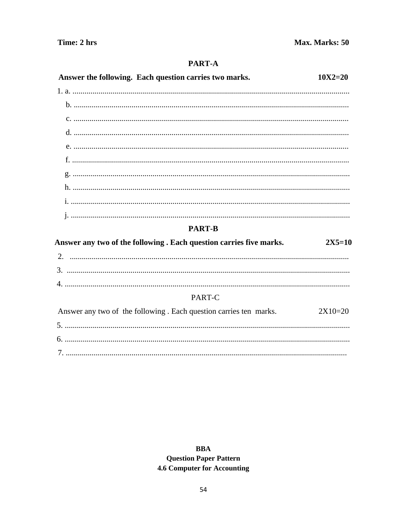## PART-A

| Answer the following. Each question carries two marks.              | $10X2 = 20$ |
|---------------------------------------------------------------------|-------------|
|                                                                     |             |
|                                                                     |             |
|                                                                     |             |
|                                                                     |             |
|                                                                     |             |
|                                                                     |             |
|                                                                     |             |
|                                                                     |             |
|                                                                     |             |
|                                                                     |             |
| <b>PART-B</b>                                                       |             |
| Answer any two of the following . Each question carries five marks. | $2X5=10$    |
|                                                                     |             |
|                                                                     |             |
|                                                                     |             |
| PART-C                                                              |             |
| Answer any two of the following. Each question carries ten marks.   | $2X10=20$   |
|                                                                     |             |
|                                                                     |             |
|                                                                     |             |

**BBA Question Paper Pattern 4.6 Computer for Accounting**